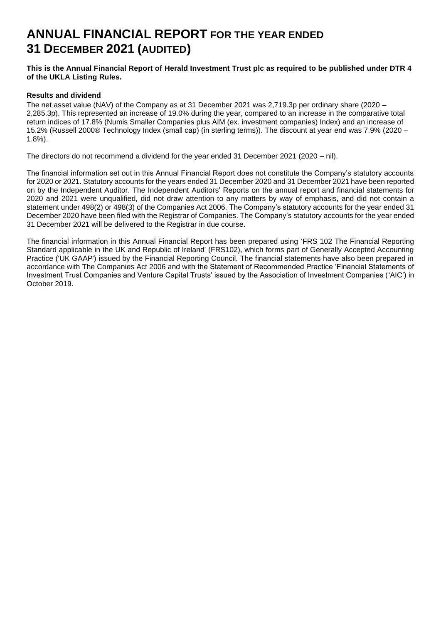# **ANNUAL FINANCIAL REPORT FOR THE YEAR ENDED 31 DECEMBER 2021 (AUDITED)**

#### **This is the Annual Financial Report of Herald Investment Trust plc as required to be published under DTR 4 of the UKLA Listing Rules.**

#### **Results and dividend**

The net asset value (NAV) of the Company as at 31 December 2021 was 2,719.3p per ordinary share (2020 – 2,285.3p). This represented an increase of 19.0% during the year, compared to an increase in the comparative total return indices of 17.8% (Numis Smaller Companies plus AIM (ex. investment companies) Index) and an increase of 15.2% (Russell 2000® Technology Index (small cap) (in sterling terms)). The discount at year end was 7.9% (2020 – 1.8%).

The directors do not recommend a dividend for the year ended 31 December 2021 (2020 – nil).

The financial information set out in this Annual Financial Report does not constitute the Company's statutory accounts for 2020 or 2021. Statutory accounts for the years ended 31 December 2020 and 31 December 2021 have been reported on by the Independent Auditor. The Independent Auditors' Reports on the annual report and financial statements for 2020 and 2021 were unqualified, did not draw attention to any matters by way of emphasis, and did not contain a statement under 498(2) or 498(3) of the Companies Act 2006. The Company's statutory accounts for the year ended 31 December 2020 have been filed with the Registrar of Companies. The Company's statutory accounts for the year ended 31 December 2021 will be delivered to the Registrar in due course.

The financial information in this Annual Financial Report has been prepared using 'FRS 102 The Financial Reporting Standard applicable in the UK and Republic of Ireland' (FRS102), which forms part of Generally Accepted Accounting Practice ('UK GAAP') issued by the Financial Reporting Council. The financial statements have also been prepared in accordance with The Companies Act 2006 and with the Statement of Recommended Practice 'Financial Statements of Investment Trust Companies and Venture Capital Trusts' issued by the Association of Investment Companies ('AIC') in October 2019.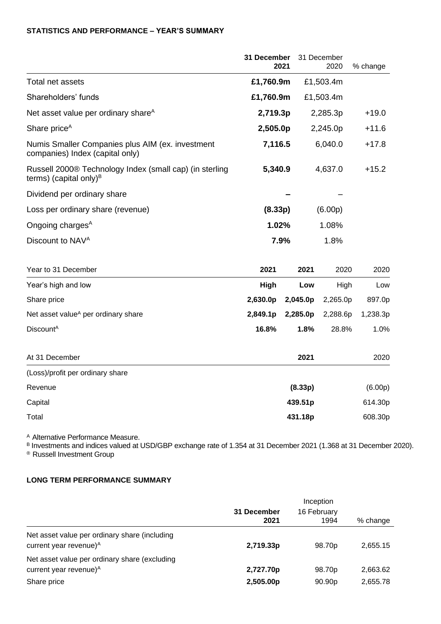## **STATISTICS AND PERFORMANCE – YEAR'S SUMMARY**

|                                                                                      | 31 December | 2021                 | 31 December<br>2020 | % change |
|--------------------------------------------------------------------------------------|-------------|----------------------|---------------------|----------|
| Total net assets                                                                     | £1,760.9m   |                      | £1,503.4m           |          |
| Shareholders' funds                                                                  | £1,760.9m   |                      | £1,503.4m           |          |
| Net asset value per ordinary share <sup>A</sup>                                      | 2,719.3p    |                      | 2,285.3p            | $+19.0$  |
| Share price <sup>A</sup>                                                             |             | 2,505.0p<br>2,245.0p |                     | $+11.6$  |
| Numis Smaller Companies plus AIM (ex. investment<br>companies) Index (capital only)  | 7,116.5     |                      | 6,040.0             | $+17.8$  |
| Russell 2000® Technology Index (small cap) (in sterling<br>terms) (capital only) $B$ | 5,340.9     |                      | 4,637.0             | $+15.2$  |
| Dividend per ordinary share                                                          |             |                      |                     |          |
| Loss per ordinary share (revenue)                                                    | (8.33p)     |                      | (6.00p)             |          |
| Ongoing charges <sup>A</sup>                                                         | 1.02%       |                      | 1.08%               |          |
| Discount to NAV <sup>A</sup>                                                         | 7.9%        |                      | 1.8%                |          |
| Year to 31 December                                                                  | 2021        | 2021                 | 2020                | 2020     |
| Year's high and low                                                                  | High        | Low                  | High                | Low      |
| Share price                                                                          | 2,630.0p    | 2,045.0p             | 2,265.0p            | 897.0p   |
| Net asset value <sup>A</sup> per ordinary share                                      | 2,849.1p    | 2,285.0p             | 2,288.6p            | 1,238.3p |
| Discount <sup>A</sup>                                                                | 16.8%       | 1.8%                 | 28.8%               | 1.0%     |
| At 31 December                                                                       |             | 2021                 |                     | 2020     |
| (Loss)/profit per ordinary share                                                     |             |                      |                     |          |
| Revenue                                                                              |             | (8.33p)              |                     | (6.00p)  |
| Capital                                                                              |             | 439.51p              |                     | 614.30p  |
| Total                                                                                |             | 431.18p              |                     | 608.30p  |

<sup>A</sup> Alternative Performance Measure.

B Investments and indices valued at USD/GBP exchange rate of 1.354 at 31 December 2021 (1.368 at 31 December 2020).

® Russell Investment Group

### **LONG TERM PERFORMANCE SUMMARY**

|                                                                                     | 31 December<br>2021 | Inception<br>16 February<br>1994 | % change |
|-------------------------------------------------------------------------------------|---------------------|----------------------------------|----------|
| Net asset value per ordinary share (including<br>current year revenue) <sup>A</sup> | 2,719.33p           | 98.70p                           | 2,655.15 |
| Net asset value per ordinary share (excluding<br>current year revenue) <sup>A</sup> | 2,727.70p           | 98.70p                           | 2,663.62 |
| Share price                                                                         | 2,505.00p           | 90.90 <sub>p</sub>               | 2,655.78 |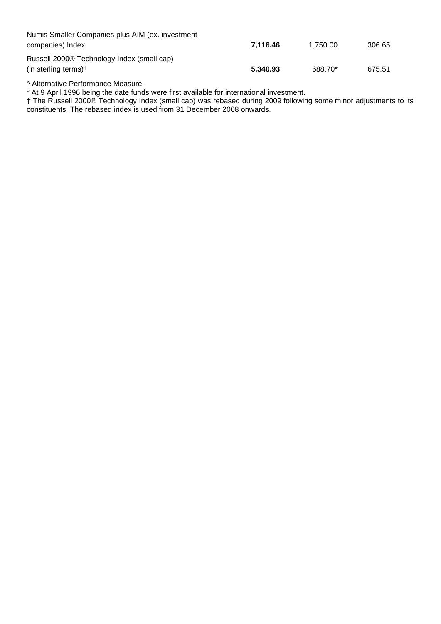| Numis Smaller Companies plus AIM (ex. investment<br>companies) Index           | 7.116.46 | 1.750.00 | 306.65 |
|--------------------------------------------------------------------------------|----------|----------|--------|
| Russell 2000® Technology Index (small cap)<br>(in sterling terms) <sup>†</sup> | 5.340.93 | 688.70*  | 675.51 |

<sup>A</sup> Alternative Performance Measure.

\* At 9 April 1996 being the date funds were first available for international investment.

† The Russell 2000® Technology Index (small cap) was rebased during 2009 following some minor adjustments to its constituents. The rebased index is used from 31 December 2008 onwards.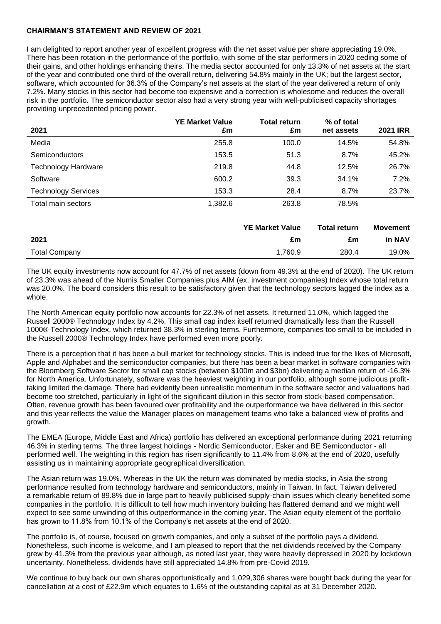#### **CHAIRMAN'S STATEMENT AND REVIEW OF 2021**

I am delighted to report another year of excellent progress with the net asset value per share appreciating 19.0%. There has been rotation in the performance of the portfolio, with some of the star performers in 2020 ceding some of their gains, and other holdings enhancing theirs. The media sector accounted for only 13.3% of net assets at the start of the year and contributed one third of the overall return, delivering 54.8% mainly in the UK; but the largest sector, software, which accounted for 36.3% of the Company's net assets at the start of the year delivered a return of only 7.2%. Many stocks in this sector had become too expensive and a correction is wholesome and reduces the overall risk in the portfolio. The semiconductor sector also had a very strong year with well-publicised capacity shortages providing unprecedented pricing power.

|                            | <b>YE Market Value</b> | <b>Total return</b> | % of total |                 |
|----------------------------|------------------------|---------------------|------------|-----------------|
| 2021                       | £m                     | £m                  | net assets | <b>2021 IRR</b> |
| Media                      | 255.8                  | 100.0               | 14.5%      | 54.8%           |
| <b>Semiconductors</b>      | 153.5                  | 51.3                | 8.7%       | 45.2%           |
| <b>Technology Hardware</b> | 219.8                  | 44.8                | 12.5%      | 26.7%           |
| Software                   | 600.2                  | 39.3                | 34.1%      | 7.2%            |
| <b>Technology Services</b> | 153.3                  | 28.4                | 8.7%       | 23.7%           |
| Total main sectors         | 1,382.6                | 263.8               | 78.5%      |                 |

|                      | <b>YE Market Value</b> | <b>Total return</b> | Movement |
|----------------------|------------------------|---------------------|----------|
| 2021                 | £m                     | £m                  | in NAV   |
| <b>Total Company</b> | 1.760.9                | 280.4               | 19.0%    |

The UK equity investments now account for 47.7% of net assets (down from 49.3% at the end of 2020). The UK return of 23.3% was ahead of the Numis Smaller Companies plus AIM (ex. investment companies) Index whose total return was 20.0%. The board considers this result to be satisfactory given that the technology sectors lagged the index as a whole.

The North American equity portfolio now accounts for 22.3% of net assets. It returned 11.0%, which lagged the Russell 2000® Technology Index by 4.2%. This small cap index itself returned dramatically less than the Russell 1000® Technology Index, which returned 38.3% in sterling terms. Furthermore, companies too small to be included in the Russell 2000® Technology Index have performed even more poorly.

There is a perception that it has been a bull market for technology stocks. This is indeed true for the likes of Microsoft, Apple and Alphabet and the semiconductor companies, but there has been a bear market in software companies with the Bloomberg Software Sector for small cap stocks (between \$100m and \$3bn) delivering a median return of -16.3% for North America. Unfortunately, software was the heaviest weighting in our portfolio, although some judicious profittaking limited the damage. There had evidently been unrealistic momentum in the software sector and valuations had become too stretched, particularly in light of the significant dilution in this sector from stock-based compensation. Often, revenue growth has been favoured over profitability and the outperformance we have delivered in this sector and this year reflects the value the Manager places on management teams who take a balanced view of profits and growth.

The EMEA (Europe, Middle East and Africa) portfolio has delivered an exceptional performance during 2021 returning 46.3% in sterling terms. The three largest holdings - Nordic Semiconductor, Esker and BE Semiconductor - all performed well. The weighting in this region has risen significantly to 11.4% from 8.6% at the end of 2020, usefully assisting us in maintaining appropriate geographical diversification.

The Asian return was 19.0%. Whereas in the UK the return was dominated by media stocks, in Asia the strong performance resulted from technology hardware and semiconductors, mainly in Taiwan. In fact, Taiwan delivered a remarkable return of 89.8% due in large part to heavily publicised supply-chain issues which clearly benefited some companies in the portfolio. It is difficult to tell how much inventory building has flattered demand and we might well expect to see some unwinding of this outperformance in the coming year. The Asian equity element of the portfolio has grown to 11.8% from 10.1% of the Company's net assets at the end of 2020.

The portfolio is, of course, focused on growth companies, and only a subset of the portfolio pays a dividend. Nonetheless, such income is welcome, and I am pleased to report that the net dividends received by the Company grew by 41.3% from the previous year although, as noted last year, they were heavily depressed in 2020 by lockdown uncertainty. Nonetheless, dividends have still appreciated 14.8% from pre-Covid 2019.

We continue to buy back our own shares opportunistically and 1,029,306 shares were bought back during the year for cancellation at a cost of £22.9m which equates to 1.6% of the outstanding capital as at 31 December 2020.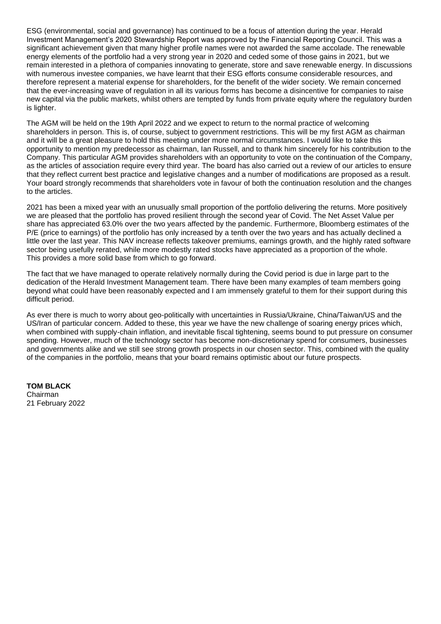ESG (environmental, social and governance) has continued to be a focus of attention during the year. Herald Investment Management's 2020 Stewardship Report was approved by the Financial Reporting Council. This was a significant achievement given that many higher profile names were not awarded the same accolade. The renewable energy elements of the portfolio had a very strong year in 2020 and ceded some of those gains in 2021, but we remain interested in a plethora of companies innovating to generate, store and save renewable energy. In discussions with numerous investee companies, we have learnt that their ESG efforts consume considerable resources, and therefore represent a material expense for shareholders, for the benefit of the wider society. We remain concerned that the ever-increasing wave of regulation in all its various forms has become a disincentive for companies to raise new capital via the public markets, whilst others are tempted by funds from private equity where the regulatory burden is lighter.

The AGM will be held on the 19th April 2022 and we expect to return to the normal practice of welcoming shareholders in person. This is, of course, subject to government restrictions. This will be my first AGM as chairman and it will be a great pleasure to hold this meeting under more normal circumstances. I would like to take this opportunity to mention my predecessor as chairman, Ian Russell, and to thank him sincerely for his contribution to the Company. This particular AGM provides shareholders with an opportunity to vote on the continuation of the Company, as the articles of association require every third year. The board has also carried out a review of our articles to ensure that they reflect current best practice and legislative changes and a number of modifications are proposed as a result. Your board strongly recommends that shareholders vote in favour of both the continuation resolution and the changes to the articles.

2021 has been a mixed year with an unusually small proportion of the portfolio delivering the returns. More positively we are pleased that the portfolio has proved resilient through the second year of Covid. The Net Asset Value per share has appreciated 63.0% over the two years affected by the pandemic. Furthermore, Bloomberg estimates of the P/E (price to earnings) of the portfolio has only increased by a tenth over the two years and has actually declined a little over the last year. This NAV increase reflects takeover premiums, earnings growth, and the highly rated software sector being usefully rerated, while more modestly rated stocks have appreciated as a proportion of the whole. This provides a more solid base from which to go forward.

The fact that we have managed to operate relatively normally during the Covid period is due in large part to the dedication of the Herald Investment Management team. There have been many examples of team members going beyond what could have been reasonably expected and I am immensely grateful to them for their support during this difficult period.

As ever there is much to worry about geo-politically with uncertainties in Russia/Ukraine, China/Taiwan/US and the US/Iran of particular concern. Added to these, this year we have the new challenge of soaring energy prices which, when combined with supply-chain inflation, and inevitable fiscal tightening, seems bound to put pressure on consumer spending. However, much of the technology sector has become non-discretionary spend for consumers, businesses and governments alike and we still see strong growth prospects in our chosen sector. This, combined with the quality of the companies in the portfolio, means that your board remains optimistic about our future prospects.

**TOM BLACK** Chairman 21 February 2022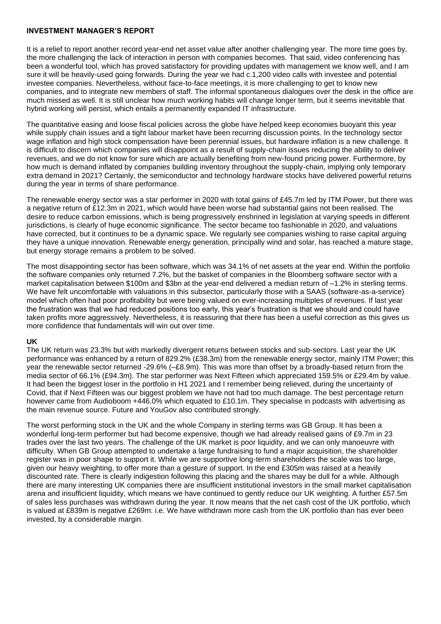#### **INVESTMENT MANAGER'S REPORT**

It is a relief to report another record year-end net asset value after another challenging year. The more time goes by, the more challenging the lack of interaction in person with companies becomes. That said, video conferencing has been a wonderful tool, which has proved satisfactory for providing updates with management we know well, and I am sure it will be heavily-used going forwards. During the year we had c.1,200 video calls with investee and potential investee companies. Nevertheless, without face-to-face meetings, it is more challenging to get to know new companies, and to integrate new members of staff. The informal spontaneous dialogues over the desk in the office are much missed as well. It is still unclear how much working habits will change longer term, but it seems inevitable that hybrid working will persist, which entails a permanently expanded IT infrastructure.

The quantitative easing and loose fiscal policies across the globe have helped keep economies buoyant this year while supply chain issues and a tight labour market have been recurring discussion points. In the technology sector wage inflation and high stock compensation have been perennial issues, but hardware inflation is a new challenge. It is difficult to discern which companies will disappoint as a result of supply-chain issues reducing the ability to deliver revenues, and we do not know for sure which are actually benefiting from new-found pricing power. Furthermore, by how much is demand inflated by companies building inventory throughout the supply-chain, implying only temporary extra demand in 2021? Certainly, the semiconductor and technology hardware stocks have delivered powerful returns during the year in terms of share performance.

The renewable energy sector was a star performer in 2020 with total gains of £45.7m led by ITM Power, but there was a negative return of £12.3m in 2021, which would have been worse had substantial gains not been realised. The desire to reduce carbon emissions, which is being progressively enshrined in legislation at varying speeds in different jurisdictions, is clearly of huge economic significance. The sector became too fashionable in 2020, and valuations have corrected, but it continues to be a dynamic space. We regularly see companies wishing to raise capital arguing they have a unique innovation. Renewable energy generation, principally wind and solar, has reached a mature stage, but energy storage remains a problem to be solved.

The most disappointing sector has been software, which was 34.1% of net assets at the year end. Within the portfolio the software companies only returned 7.2%, but the basket of companies in the Bloomberg software sector with a market capitalisation between \$100m and \$3bn at the year-end delivered a median return of -1.2% in sterling terms. We have felt uncomfortable with valuations in this subsector, particularly those with a SAAS (software-as-a-service) model which often had poor profitability but were being valued on ever-increasing multiples of revenues. If last year the frustration was that we had reduced positions too early, this year's frustration is that we should and could have taken profits more aggressively. Nevertheless, it is reassuring that there has been a useful correction as this gives us more confidence that fundamentals will win out over time.

#### **UK**

The UK return was 23.3% but with markedly divergent returns between stocks and sub-sectors. Last year the UK performance was enhanced by a return of 829.2% (£38.3m) from the renewable energy sector, mainly ITM Power; this year the renewable sector returned -29.6% (–£8.9m). This was more than offset by a broadly-based return from the media sector of 66.1% (£94.3m). The star performer was Next Fifteen which appreciated 159.5% or £29.4m by value. It had been the biggest loser in the portfolio in H1 2021 and I remember being relieved, during the uncertainty of Covid, that if Next Fifteen was our biggest problem we have not had too much damage. The best percentage return however came from Audioboom +446.0% which equated to £10.1m. They specialise in podcasts with advertising as the main revenue source. Future and YouGov also contributed strongly.

The worst performing stock in the UK and the whole Company in sterling terms was GB Group. It has been a wonderful long-term performer but had become expensive, though we had already realised gains of £9.7m in 23 trades over the last two years. The challenge of the UK market is poor liquidity, and we can only manoeuvre with difficulty. When GB Group attempted to undertake a large fundraising to fund a major acquisition, the shareholder register was in poor shape to support it. While we are supportive long-term shareholders the scale was too large, given our heavy weighting, to offer more than a gesture of support. In the end £305m was raised at a heavily discounted rate. There is clearly indigestion following this placing and the shares may be dull for a while. Although there are many interesting UK companies there are insufficient institutional investors in the small market capitalisation arena and insufficient liquidity, which means we have continued to gently reduce our UK weighting. A further £57.5m of sales less purchases was withdrawn during the year. It now means that the net cash cost of the UK portfolio, which is valued at £839m is negative £269m: i.e. We have withdrawn more cash from the UK portfolio than has ever been invested, by a considerable margin.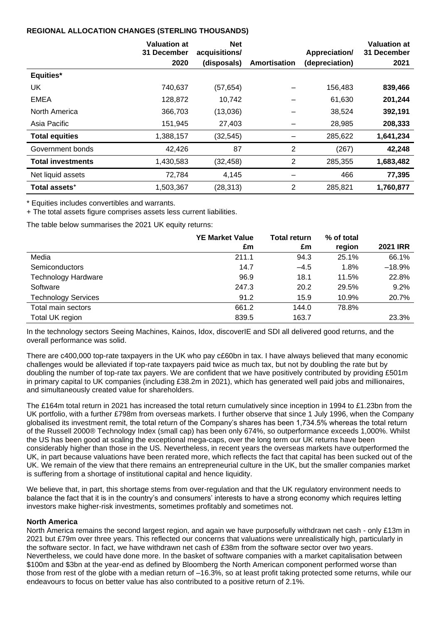#### **REGIONAL ALLOCATION CHANGES (STERLING THOUSANDS)**

|                           | <b>Valuation at</b><br>31 December | <b>Net</b><br>acquisitions/ |              | Appreciation/  | <b>Valuation at</b><br>31 December |
|---------------------------|------------------------------------|-----------------------------|--------------|----------------|------------------------------------|
|                           | 2020                               | (disposals)                 | Amortisation | (depreciation) | 2021                               |
| Equities*                 |                                    |                             |              |                |                                    |
| UK                        | 740,637                            | (57, 654)                   |              | 156,483        | 839,466                            |
| <b>EMEA</b>               | 128,872                            | 10,742                      |              | 61,630         | 201,244                            |
| North America             | 366,703                            | (13,036)                    |              | 38,524         | 392,191                            |
| Asia Pacific              | 151,945                            | 27,403                      |              | 28,985         | 208,333                            |
| <b>Total equities</b>     | 1,388,157                          | (32, 545)                   |              | 285,622        | 1,641,234                          |
| Government bonds          | 42,426                             | 87                          | 2            | (267)          | 42,248                             |
| <b>Total investments</b>  | 1,430,583                          | (32, 458)                   | 2            | 285,355        | 1,683,482                          |
| Net liquid assets         | 72,784                             | 4,145                       |              | 466            | 77,395                             |
| Total assets <sup>+</sup> | 1,503,367                          | (28, 313)                   | 2            | 285,821        | 1,760,877                          |

\* Equities includes convertibles and warrants.

+ The total assets figure comprises assets less current liabilities.

The table below summarises the 2021 UK equity returns:

|                            | <b>YE Market Value</b> | <b>Total return</b> | % of total |                 |
|----------------------------|------------------------|---------------------|------------|-----------------|
|                            | £m                     | £m                  | region     | <b>2021 IRR</b> |
| Media                      | 211.1                  | 94.3                | 25.1%      | 66.1%           |
| Semiconductors             | 14.7                   | $-4.5$              | 1.8%       | $-18.9%$        |
| <b>Technology Hardware</b> | 96.9                   | 18.1                | 11.5%      | 22.8%           |
| Software                   | 247.3                  | 20.2                | 29.5%      | 9.2%            |
| <b>Technology Services</b> | 91.2                   | 15.9                | 10.9%      | 20.7%           |
| Total main sectors         | 661.2                  | 144.0               | 78.8%      |                 |
| Total UK region            | 839.5                  | 163.7               |            | 23.3%           |

In the technology sectors Seeing Machines, Kainos, Idox, discoverIE and SDI all delivered good returns, and the overall performance was solid.

There are c400,000 top-rate taxpayers in the UK who pay c£60bn in tax. I have always believed that many economic challenges would be alleviated if top-rate taxpayers paid twice as much tax, but not by doubling the rate but by doubling the number of top-rate tax payers. We are confident that we have positively contributed by providing £501m in primary capital to UK companies (including £38.2m in 2021), which has generated well paid jobs and millionaires, and simultaneously created value for shareholders.

The £164m total return in 2021 has increased the total return cumulatively since inception in 1994 to £1.23bn from the UK portfolio, with a further £798m from overseas markets. I further observe that since 1 July 1996, when the Company globalised its investment remit, the total return of the Company's shares has been 1,734.5% whereas the total return of the Russell 2000® Technology Index (small cap) has been only 674%, so outperformance exceeds 1,000%. Whilst the US has been good at scaling the exceptional mega-caps, over the long term our UK returns have been considerably higher than those in the US. Nevertheless, in recent years the overseas markets have outperformed the UK, in part because valuations have been rerated more, which reflects the fact that capital has been sucked out of the UK. We remain of the view that there remains an entrepreneurial culture in the UK, but the smaller companies market is suffering from a shortage of institutional capital and hence liquidity.

We believe that, in part, this shortage stems from over-regulation and that the UK regulatory environment needs to balance the fact that it is in the country's and consumers' interests to have a strong economy which requires letting investors make higher-risk investments, sometimes profitably and sometimes not.

#### **North America**

North America remains the second largest region, and again we have purposefully withdrawn net cash - only £13m in 2021 but £79m over three years. This reflected our concerns that valuations were unrealistically high, particularly in the software sector. In fact, we have withdrawn net cash of £38m from the software sector over two years. Nevertheless, we could have done more. In the basket of software companies with a market capitalisation between \$100m and \$3bn at the year-end as defined by Bloomberg the North American component performed worse than those from rest of the globe with a median return of –16.3%, so at least profit taking protected some returns, while our endeavours to focus on better value has also contributed to a positive return of 2.1%.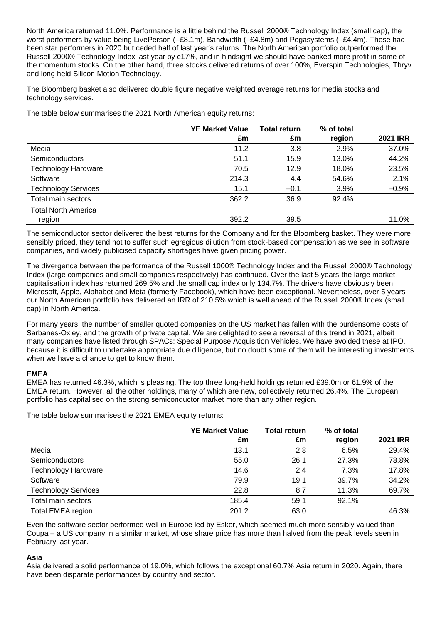North America returned 11.0%. Performance is a little behind the Russell 2000® Technology Index (small cap), the worst performers by value being LivePerson (–£8.1m), Bandwidth (–£4.8m) and Pegasystems (–£4.4m). These had been star performers in 2020 but ceded half of last year's returns. The North American portfolio outperformed the Russell 2000® Technology Index last year by c17%, and in hindsight we should have banked more profit in some of the momentum stocks. On the other hand, three stocks delivered returns of over 100%, Everspin Technologies, Thryv and long held Silicon Motion Technology.

The Bloomberg basket also delivered double figure negative weighted average returns for media stocks and technology services.

The table below summarises the 2021 North American equity returns:

|                            | <b>YE Market Value</b> | <b>Total return</b> | % of total |                 |
|----------------------------|------------------------|---------------------|------------|-----------------|
|                            | £m                     | £m                  | region     | <b>2021 IRR</b> |
| Media                      | 11.2                   | 3.8                 | 2.9%       | 37.0%           |
| <b>Semiconductors</b>      | 51.1                   | 15.9                | 13.0%      | 44.2%           |
| <b>Technology Hardware</b> | 70.5                   | 12.9                | 18.0%      | 23.5%           |
| Software                   | 214.3                  | 4.4                 | 54.6%      | 2.1%            |
| <b>Technology Services</b> | 15.1                   | $-0.1$              | 3.9%       | $-0.9%$         |
| Total main sectors         | 362.2                  | 36.9                | 92.4%      |                 |
| <b>Total North America</b> |                        |                     |            |                 |
| region                     | 392.2                  | 39.5                |            | 11.0%           |

The semiconductor sector delivered the best returns for the Company and for the Bloomberg basket. They were more sensibly priced, they tend not to suffer such egregious dilution from stock-based compensation as we see in software companies, and widely publicised capacity shortages have given pricing power.

The divergence between the performance of the Russell 1000® Technology Index and the Russell 2000® Technology Index (large companies and small companies respectively) has continued. Over the last 5 years the large market capitalisation index has returned 269.5% and the small cap index only 134.7%. The drivers have obviously been Microsoft, Apple, Alphabet and Meta (formerly Facebook), which have been exceptional. Nevertheless, over 5 years our North American portfolio has delivered an IRR of 210.5% which is well ahead of the Russell 2000® Index (small cap) in North America.

For many years, the number of smaller quoted companies on the US market has fallen with the burdensome costs of Sarbanes-Oxley, and the growth of private capital. We are delighted to see a reversal of this trend in 2021, albeit many companies have listed through SPACs: Special Purpose Acquisition Vehicles. We have avoided these at IPO, because it is difficult to undertake appropriate due diligence, but no doubt some of them will be interesting investments when we have a chance to get to know them.

#### **EMEA**

EMEA has returned 46.3%, which is pleasing. The top three long-held holdings returned £39.0m or 61.9% of the EMEA return. However, all the other holdings, many of which are new, collectively returned 26.4%. The European portfolio has capitalised on the strong semiconductor market more than any other region.

The table below summarises the 2021 EMEA equity returns:

|                            | <b>YE Market Value</b> | <b>Total return</b> | % of total |                 |
|----------------------------|------------------------|---------------------|------------|-----------------|
|                            | £m                     | £m                  | region     | <b>2021 IRR</b> |
| Media                      | 13.1                   | 2.8                 | 6.5%       | 29.4%           |
| <b>Semiconductors</b>      | 55.0                   | 26.1                | 27.3%      | 78.8%           |
| <b>Technology Hardware</b> | 14.6                   | 2.4                 | 7.3%       | 17.8%           |
| Software                   | 79.9                   | 19.1                | 39.7%      | 34.2%           |
| <b>Technology Services</b> | 22.8                   | 8.7                 | 11.3%      | 69.7%           |
| Total main sectors         | 185.4                  | 59.1                | 92.1%      |                 |
| <b>Total EMEA region</b>   | 201.2                  | 63.0                |            | 46.3%           |

Even the software sector performed well in Europe led by Esker, which seemed much more sensibly valued than Coupa – a US company in a similar market, whose share price has more than halved from the peak levels seen in February last year.

#### **Asia**

Asia delivered a solid performance of 19.0%, which follows the exceptional 60.7% Asia return in 2020. Again, there have been disparate performances by country and sector.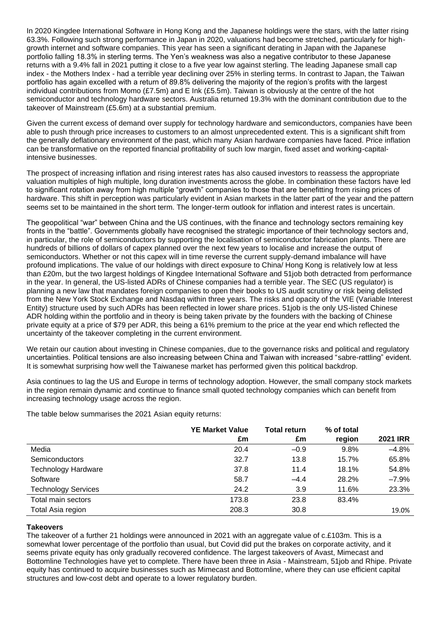In 2020 Kingdee International Software in Hong Kong and the Japanese holdings were the stars, with the latter rising 63.3%. Following such strong performance in Japan in 2020, valuations had become stretched, particularly for highgrowth internet and software companies. This year has seen a significant derating in Japan with the Japanese portfolio falling 18.3% in sterling terms. The Yen's weakness was also a negative contributor to these Japanese returns with a 9.4% fall in 2021 putting it close to a five year low against sterling. The leading Japanese small cap index - the Mothers Index - had a terrible year declining over 25% in sterling terms. In contrast to Japan, the Taiwan portfolio has again excelled with a return of 89.8% delivering the majority of the region's profits with the largest individual contributions from Momo (£7.5m) and E Ink (£5.5m). Taiwan is obviously at the centre of the hot semiconductor and technology hardware sectors. Australia returned 19.3% with the dominant contribution due to the takeover of Mainstream (£5.6m) at a substantial premium.

Given the current excess of demand over supply for technology hardware and semiconductors, companies have been able to push through price increases to customers to an almost unprecedented extent. This is a significant shift from the generally deflationary environment of the past, which many Asian hardware companies have faced. Price inflation can be transformative on the reported financial profitability of such low margin, fixed asset and working-capitalintensive businesses.

The prospect of increasing inflation and rising interest rates has also caused investors to reassess the appropriate valuation multiples of high multiple, long duration investments across the globe. In combination these factors have led to significant rotation away from high multiple "growth" companies to those that are benefitting from rising prices of hardware. This shift in perception was particularly evident in Asian markets in the latter part of the year and the pattern seems set to be maintained in the short term. The longer-term outlook for inflation and interest rates is uncertain.

The geopolitical "war" between China and the US continues, with the finance and technology sectors remaining key fronts in the "battle". Governments globally have recognised the strategic importance of their technology sectors and, in particular, the role of semiconductors by supporting the localisation of semiconductor fabrication plants. There are hundreds of billions of dollars of capex planned over the next few years to localise and increase the output of semiconductors. Whether or not this capex will in time reverse the current supply-demand imbalance will have profound implications. The value of our holdings with direct exposure to China/ Hong Kong is relatively low at less than £20m, but the two largest holdings of Kingdee International Software and 51job both detracted from performance in the year. In general, the US-listed ADRs of Chinese companies had a terrible year. The SEC (US regulator) is planning a new law that mandates foreign companies to open their books to US audit scrutiny or risk being delisted from the New York Stock Exchange and Nasdaq within three years. The risks and opacity of the VIE (Variable Interest Entity) structure used by such ADRs has been reflected in lower share prices. 51job is the only US-listed Chinese ADR holding within the portfolio and in theory is being taken private by the founders with the backing of Chinese private equity at a price of \$79 per ADR, this being a 61% premium to the price at the year end which reflected the uncertainty of the takeover completing in the current environment.

We retain our caution about investing in Chinese companies, due to the governance risks and political and regulatory uncertainties. Political tensions are also increasing between China and Taiwan with increased "sabre-rattling" evident. It is somewhat surprising how well the Taiwanese market has performed given this political backdrop.

Asia continues to lag the US and Europe in terms of technology adoption. However, the small company stock markets in the region remain dynamic and continue to finance small quoted technology companies which can benefit from increasing technology usage across the region.

The table below summarises the 2021 Asian equity returns:

|                            | <b>YE Market Value</b><br>£m | <b>Total return</b><br>£m | % of total<br>region | <b>2021 IRR</b> |
|----------------------------|------------------------------|---------------------------|----------------------|-----------------|
|                            |                              |                           |                      |                 |
| Media                      | 20.4                         | $-0.9$                    | 9.8%                 | $-4.8%$         |
| <b>Semiconductors</b>      | 32.7                         | 13.8                      | 15.7%                | 65.8%           |
| <b>Technology Hardware</b> | 37.8                         | 11.4                      | 18.1%                | 54.8%           |
| Software                   | 58.7                         | $-4.4$                    | 28.2%                | $-7.9%$         |
| <b>Technology Services</b> | 24.2                         | 3.9                       | 11.6%                | 23.3%           |
| Total main sectors         | 173.8                        | 23.8                      | 83.4%                |                 |
| Total Asia region          | 208.3                        | 30.8                      |                      | 19.0%           |

#### **Takeovers**

The takeover of a further 21 holdings were announced in 2021 with an aggregate value of c.£103m. This is a somewhat lower percentage of the portfolio than usual, but Covid did put the brakes on corporate activity, and it seems private equity has only gradually recovered confidence. The largest takeovers of Avast, Mimecast and Bottomline Technologies have yet to complete. There have been three in Asia - Mainstream, 51job and Rhipe. Private equity has continued to acquire businesses such as Mimecast and Bottomline, where they can use efficient capital structures and low-cost debt and operate to a lower regulatory burden.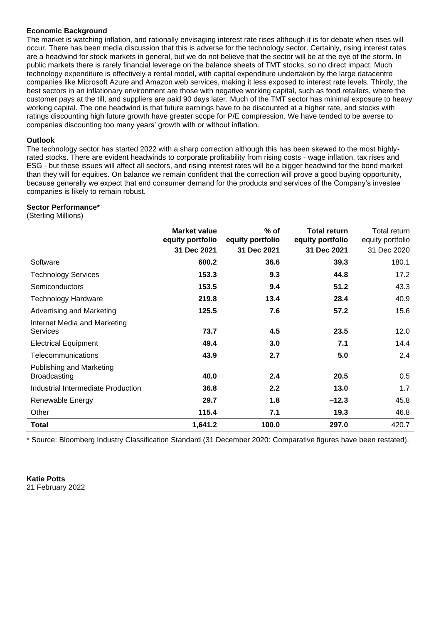#### **Economic Background**

The market is watching inflation, and rationally envisaging interest rate rises although it is for debate when rises will occur. There has been media discussion that this is adverse for the technology sector. Certainly, rising interest rates are a headwind for stock markets in general, but we do not believe that the sector will be at the eye of the storm. In public markets there is rarely financial leverage on the balance sheets of TMT stocks, so no direct impact. Much technology expenditure is effectively a rental model, with capital expenditure undertaken by the large datacentre companies like Microsoft Azure and Amazon web services, making it less exposed to interest rate levels. Thirdly, the best sectors in an inflationary environment are those with negative working capital, such as food retailers, where the customer pays at the till, and suppliers are paid 90 days later. Much of the TMT sector has minimal exposure to heavy working capital. The one headwind is that future earnings have to be discounted at a higher rate, and stocks with ratings discounting high future growth have greater scope for P/E compression. We have tended to be averse to companies discounting too many years' growth with or without inflation.

#### **Outlook**

The technology sector has started 2022 with a sharp correction although this has been skewed to the most highlyrated stocks. There are evident headwinds to corporate profitability from rising costs - wage inflation, tax rises and ESG - but these issues will affect all sectors, and rising interest rates will be a bigger headwind for the bond market than they will for equities. On balance we remain confident that the correction will prove a good buying opportunity, because generally we expect that end consumer demand for the products and services of the Company's investee companies is likely to remain robust.

#### **Sector Performance\***

(Sterling Millions)

|                                                 | Market value<br>equity portfolio<br>31 Dec 2021 | $%$ of<br>equity portfolio<br>31 Dec 2021 | <b>Total return</b><br>equity portfolio<br>31 Dec 2021 | Total return<br>equity portfolio<br>31 Dec 2020 |
|-------------------------------------------------|-------------------------------------------------|-------------------------------------------|--------------------------------------------------------|-------------------------------------------------|
| Software                                        | 600.2                                           | 36.6                                      | 39.3                                                   | 180.1                                           |
| <b>Technology Services</b>                      | 153.3                                           | 9.3                                       | 44.8                                                   | 17.2                                            |
| Semiconductors                                  | 153.5                                           | 9.4                                       | 51.2                                                   | 43.3                                            |
| <b>Technology Hardware</b>                      | 219.8                                           | 13.4                                      | 28.4                                                   | 40.9                                            |
| Advertising and Marketing                       | 125.5                                           | 7.6                                       | 57.2                                                   | 15.6                                            |
| Internet Media and Marketing<br><b>Services</b> | 73.7                                            | 4.5                                       | 23.5                                                   | 12.0                                            |
| <b>Electrical Equipment</b>                     | 49.4                                            | 3.0                                       | 7.1                                                    | 14.4                                            |
| Telecommunications                              | 43.9                                            | 2.7                                       | 5.0                                                    | 2.4                                             |
| Publishing and Marketing<br><b>Broadcasting</b> | 40.0                                            | 2.4                                       | 20.5                                                   | 0.5                                             |
| Industrial Intermediate Production              | 36.8                                            | 2.2                                       | 13.0                                                   | 1.7                                             |
| Renewable Energy                                | 29.7                                            | 1.8                                       | $-12.3$                                                | 45.8                                            |
| Other                                           | 115.4                                           | 7.1                                       | 19.3                                                   | 46.8                                            |
| <b>Total</b>                                    | 1,641.2                                         | 100.0                                     | 297.0                                                  | 420.7                                           |

\* Source: Bloomberg Industry Classification Standard (31 December 2020: Comparative figures have been restated).

**Katie Potts** 21 February 2022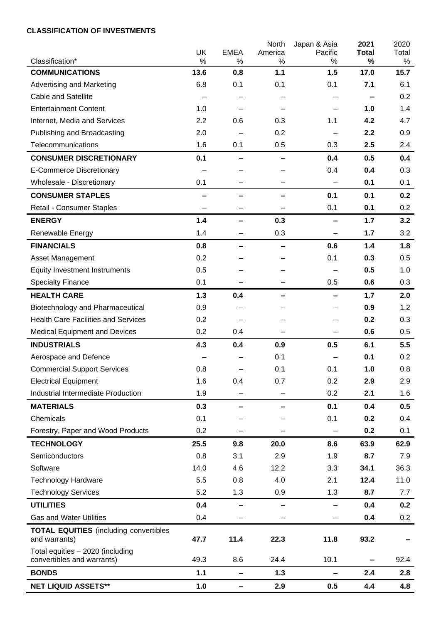## **CLASSIFICATION OF INVESTMENTS**

|                                                                | <b>UK</b> | <b>EMEA</b> | North<br>America | Japan & Asia<br>Pacific | 2021<br><b>Total</b> | 2020<br>Total |
|----------------------------------------------------------------|-----------|-------------|------------------|-------------------------|----------------------|---------------|
| Classification*                                                | $\%$      | %           | %                | %                       | %                    | ℅             |
| <b>COMMUNICATIONS</b>                                          | 13.6      | 0.8         | $1.1$            | 1.5                     | 17.0                 | 15.7          |
| Advertising and Marketing                                      | 6.8       | 0.1         | 0.1              | 0.1                     | 7.1                  | 6.1           |
| <b>Cable and Satellite</b>                                     |           |             |                  |                         |                      | 0.2           |
| <b>Entertainment Content</b>                                   | 1.0       |             |                  |                         | 1.0                  | 1.4           |
| Internet, Media and Services                                   | 2.2       | 0.6         | 0.3              | 1.1                     | 4.2                  | 4.7           |
| Publishing and Broadcasting                                    | 2.0       |             | 0.2              |                         | 2.2                  | 0.9           |
| Telecommunications                                             | 1.6       | 0.1         | 0.5              | 0.3                     | 2.5                  | 2.4           |
| <b>CONSUMER DISCRETIONARY</b>                                  | 0.1       | -           | -                | 0.4                     | 0.5                  | 0.4           |
| <b>E-Commerce Discretionary</b>                                |           |             |                  | 0.4                     | 0.4                  | 0.3           |
| Wholesale - Discretionary                                      | 0.1       |             |                  |                         | 0.1                  | 0.1           |
| <b>CONSUMER STAPLES</b>                                        | -         | -           | -                | 0.1                     | 0.1                  | 0.2           |
| Retail - Consumer Staples                                      |           |             |                  | 0.1                     | 0.1                  | 0.2           |
| <b>ENERGY</b>                                                  | 1.4       | -           | 0.3              | -                       | 1.7                  | 3.2           |
| Renewable Energy                                               | 1.4       |             | 0.3              |                         | 1.7                  | 3.2           |
| <b>FINANCIALS</b>                                              | 0.8       |             |                  | 0.6                     | 1.4                  | 1.8           |
| Asset Management                                               | 0.2       |             |                  | 0.1                     | 0.3                  | 0.5           |
| <b>Equity Investment Instruments</b>                           | 0.5       |             |                  |                         | 0.5                  | 1.0           |
| <b>Specialty Finance</b>                                       | 0.1       |             |                  | 0.5                     | 0.6                  | 0.3           |
| <b>HEALTH CARE</b>                                             | 1.3       | 0.4         | -                |                         | $1.7$                | 2.0           |
| Biotechnology and Pharmaceutical                               | 0.9       |             |                  |                         | 0.9                  | 1.2           |
| <b>Health Care Facilities and Services</b>                     | 0.2       |             |                  |                         | 0.2                  | 0.3           |
| <b>Medical Equipment and Devices</b>                           | 0.2       | 0.4         |                  |                         | 0.6                  | 0.5           |
| <b>INDUSTRIALS</b>                                             | 4.3       | 0.4         | 0.9              | 0.5                     | 6.1                  | 5.5           |
| Aerospace and Defence                                          |           |             | 0.1              |                         | 0.1                  | 0.2           |
| <b>Commercial Support Services</b>                             | 0.8       |             | 0.1              | 0.1                     | 1.0                  | 0.8           |
| <b>Electrical Equipment</b>                                    | 1.6       | 0.4         | 0.7              | 0.2                     | 2.9                  | 2.9           |
| Industrial Intermediate Production                             | 1.9       |             |                  | 0.2                     | 2.1                  | 1.6           |
| <b>MATERIALS</b>                                               | 0.3       | -           | -                | 0.1                     | 0.4                  | 0.5           |
| Chemicals                                                      | 0.1       |             |                  | 0.1                     | 0.2                  | 0.4           |
| Forestry, Paper and Wood Products                              | 0.2       |             |                  |                         | 0.2                  | 0.1           |
| <b>TECHNOLOGY</b>                                              | 25.5      | 9.8         | 20.0             | 8.6                     | 63.9                 | 62.9          |
| Semiconductors                                                 | 0.8       | 3.1         | 2.9              | 1.9                     | 8.7                  | 7.9           |
| Software                                                       | 14.0      | 4.6         | 12.2             | 3.3                     | 34.1                 | 36.3          |
| <b>Technology Hardware</b>                                     | 5.5       | 0.8         | 4.0              | 2.1                     | 12.4                 | 11.0          |
| <b>Technology Services</b>                                     | 5.2       | 1.3         | 0.9              | 1.3                     | 8.7                  | 7.7           |
| <b>UTILITIES</b>                                               | 0.4       | -           | -                |                         | 0.4                  | 0.2           |
| <b>Gas and Water Utilities</b>                                 | 0.4       |             |                  |                         | 0.4                  | 0.2           |
| <b>TOTAL EQUITIES</b> (including convertibles                  |           |             |                  |                         |                      |               |
| and warrants)                                                  | 47.7      | 11.4        | 22.3             | 11.8                    | 93.2                 |               |
| Total equities - 2020 (including<br>convertibles and warrants) | 49.3      | 8.6         | 24.4             | 10.1                    |                      | 92.4          |
| <b>BONDS</b>                                                   | $1.1$     | -           | 1.3              | -                       | 2.4                  | 2.8           |
| <b>NET LIQUID ASSETS**</b>                                     | 1.0       | -           | 2.9              | 0.5                     | 4.4                  | 4.8           |
|                                                                |           |             |                  |                         |                      |               |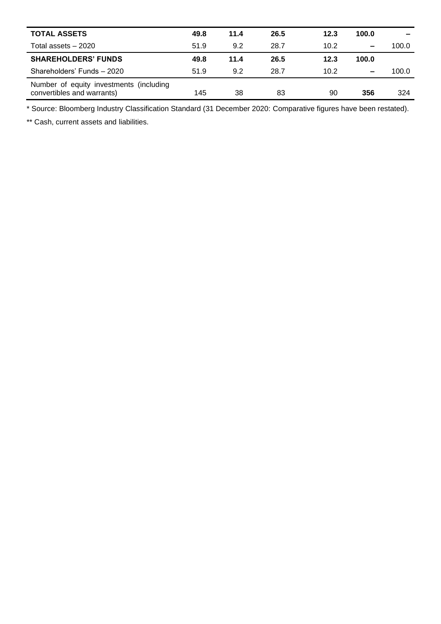| <b>TOTAL ASSETS</b>                                                   | 49.8 | 11.4 | 26.5 | 12.3 | 100.0                    | $\overline{\phantom{a}}$ |
|-----------------------------------------------------------------------|------|------|------|------|--------------------------|--------------------------|
| Total assets - 2020                                                   | 51.9 | 9.2  | 28.7 | 10.2 | $\overline{\phantom{0}}$ | 100.0                    |
| <b>SHAREHOLDERS' FUNDS</b>                                            | 49.8 | 11.4 | 26.5 | 12.3 | 100.0                    |                          |
| Shareholders' Funds - 2020                                            | 51.9 | 9.2  | 28.7 | 10.2 | $\equiv$                 | 100.0                    |
| Number of equity investments (including<br>convertibles and warrants) | 145  | 38   | 83   | 90   | 356                      | 324                      |

\* Source: Bloomberg Industry Classification Standard (31 December 2020: Comparative figures have been restated).

\*\* Cash, current assets and liabilities.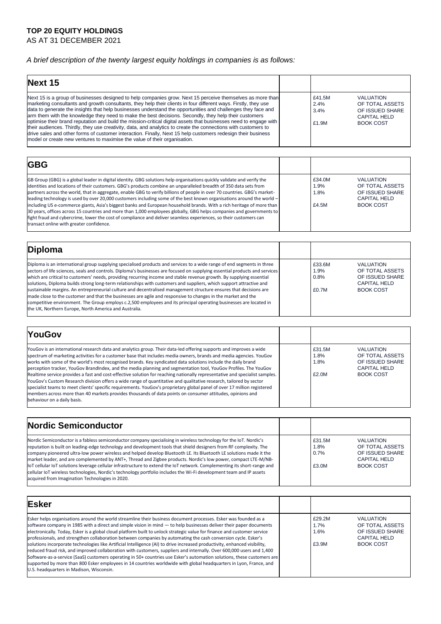# **TOP 20 EQUITY HOLDINGS**

AS AT 31 DECEMBER 2021

## *A brief description of the twenty largest equity holdings in companies is as follows:*

| Next 15                                                                                                                                                                                                                                                                                                                                                                                                                                                                                                                                                                                                                                                                                                                                                                                                                                                                                    |                                 |                                                                                            |
|--------------------------------------------------------------------------------------------------------------------------------------------------------------------------------------------------------------------------------------------------------------------------------------------------------------------------------------------------------------------------------------------------------------------------------------------------------------------------------------------------------------------------------------------------------------------------------------------------------------------------------------------------------------------------------------------------------------------------------------------------------------------------------------------------------------------------------------------------------------------------------------------|---------------------------------|--------------------------------------------------------------------------------------------|
| Next 15 is a group of businesses designed to help companies grow. Next 15 perceive themselves as more than<br>marketing consultants and growth consultants, they help their clients in four different ways. Firstly, they use<br>data to generate the insights that help businesses understand the opportunities and challenges they face and<br>arm them with the knowledge they need to make the best decisions. Secondly, they help their customers<br>optimise their brand reputation and build the mission-critical digital assets that businesses need to engage with<br>their audiences. Thirdly, they use creativity, data, and analytics to create the connections with customers to<br>drive sales and other forms of customer interaction. Finally, Next 15 help customers redesign their business<br>model or create new ventures to maximise the value of their organisation. | £41.5M<br>2.4%<br>3.4%<br>£1.9M | VALUATION<br>OF TOTAL ASSETS<br>OF ISSUED SHARE<br><b>CAPITAL HELD</b><br><b>BOOK COST</b> |

| <b>GBG</b>                                                                                                                                                                                                                                                                                                                                                                                                                                                                                                                                                                                                                                                                                                                                                                                                                                                                                                              |                                 |                                                                                     |
|-------------------------------------------------------------------------------------------------------------------------------------------------------------------------------------------------------------------------------------------------------------------------------------------------------------------------------------------------------------------------------------------------------------------------------------------------------------------------------------------------------------------------------------------------------------------------------------------------------------------------------------------------------------------------------------------------------------------------------------------------------------------------------------------------------------------------------------------------------------------------------------------------------------------------|---------------------------------|-------------------------------------------------------------------------------------|
| GB Group (GBG) is a global leader in digital identity. GBG solutions help organisations quickly validate and verify the<br>lidentities and locations of their customers. GBG's products combine an unparalleled breadth of 350 data sets from<br>partners across the world, that in aggregate, enable GBG to verify billions of people in over 70 countries. GBG's market-<br>leading technology is used by over 20,000 customers including some of the best known organisations around the world $-$<br>including US e-commerce giants, Asia's biggest banks and European household brands. With a rich heritage of more than<br>30 years, offices across 15 countries and more than 1,000 employees globally, GBG helps companies and governments to<br>fight fraud and cybercrime, lower the cost of compliance and deliver seamless experiences, so their customers can<br>transact online with greater confidence. | £34.0M<br>1.9%<br>1.8%<br>£4.5M | VALUATION<br>OF TOTAL ASSETS<br>OF ISSUED SHARE<br>CAPITAL HELD<br><b>BOOK COST</b> |

| <b>Diploma</b>                                                                                                                                                                                                                                                                                                                                                                                                                                                                                                                                                                                                                                                                                                                                                                                                                                                                                                           |                                 |                                                                                     |
|--------------------------------------------------------------------------------------------------------------------------------------------------------------------------------------------------------------------------------------------------------------------------------------------------------------------------------------------------------------------------------------------------------------------------------------------------------------------------------------------------------------------------------------------------------------------------------------------------------------------------------------------------------------------------------------------------------------------------------------------------------------------------------------------------------------------------------------------------------------------------------------------------------------------------|---------------------------------|-------------------------------------------------------------------------------------|
| Diploma is an international group supplying specialised products and services to a wide range of end segments in three<br>sectors of life sciences, seals and controls. Diploma's businesses are focused on supplying essential products and services<br>which are critical to customers' needs, providing recurring income and stable revenue growth. By supplying essential<br>solutions, Diploma builds strong long-term relationships with customers and suppliers, which support attractive and<br>sustainable margins. An entrepreneurial culture and decentralised management structure ensures that decisions are<br>made close to the customer and that the businesses are agile and responsive to changes in the market and the<br>competitive environment. The Group employs c.2,500 employees and its principal operating businesses are located in<br>the UK, Northern Europe, North America and Australia. | £33.6M<br>1.9%<br>0.8%<br>£0.7M | VALUATION<br>OF TOTAL ASSETS<br>OF ISSUED SHARE<br>CAPITAL HELD<br><b>BOOK COST</b> |

| YouGov                                                                                                                                                                                                                                                                                                                                                                                                                                                                                                                                                                                                                                                                                                                                                                                                                                                                                                                                                                                                    |                                 |                                                                                            |
|-----------------------------------------------------------------------------------------------------------------------------------------------------------------------------------------------------------------------------------------------------------------------------------------------------------------------------------------------------------------------------------------------------------------------------------------------------------------------------------------------------------------------------------------------------------------------------------------------------------------------------------------------------------------------------------------------------------------------------------------------------------------------------------------------------------------------------------------------------------------------------------------------------------------------------------------------------------------------------------------------------------|---------------------------------|--------------------------------------------------------------------------------------------|
| YouGov is an international research data and analytics group. Their data-led offering supports and improves a wide<br>spectrum of marketing activities for a customer base that includes media owners, brands and media agencies. YouGov<br>works with some of the world's most recognised brands. Key syndicated data solutions include the daily brand<br>perception tracker, YouGov BrandIndex, and the media planning and segmentation tool, YouGov Profiles. The YouGov<br>Realtime service provides a fast and cost-effective solution for reaching nationally representative and specialist samples.<br>YouGov's Custom Research division offers a wide range of quantitative and qualitative research, tailored by sector<br>specialist teams to meet clients' specific requirements. YouGov's proprietary global panel of over 17 million registered<br>members across more than 40 markets provides thousands of data points on consumer attitudes, opinions and<br>behaviour on a daily basis. | £31.5M<br>1.8%<br>1.8%<br>£2.0M | VALUATION<br>OF TOTAL ASSETS<br>OF ISSUED SHARE<br><b>CAPITAL HELD</b><br><b>BOOK COST</b> |

| Nordic Semiconductor                                                                                                                                                                                                                                                                                                                                                                                                 |                        |                                                 |
|----------------------------------------------------------------------------------------------------------------------------------------------------------------------------------------------------------------------------------------------------------------------------------------------------------------------------------------------------------------------------------------------------------------------|------------------------|-------------------------------------------------|
| Nordic Semiconductor is a fabless semiconductor company specialising in wireless technology for the IoT. Nordic's<br>reputation is built on leading-edge technology and development tools that shield designers from RF complexity. The<br>company pioneered ultra-low power wireless and helped develop Bluetooth LE. Its Bluetooth LE solutions made it the                                                        | £31.5M<br>1.8%<br>0.7% | VALUATION<br>OF TOTAL ASSETS<br>OF ISSUED SHARE |
| market leader, and are complemented by ANT+, Thread and Zigbee products. Nordic's low power, compact LTE-M/NB-<br>loT cellular loT solutions leverage cellular infrastructure to extend the IoT network. Complementing its short-range and<br>cellular IoT wireless technologies, Nordic's technology portfolio includes the Wi-Fi development team and IP assets<br>acquired from Imagination Technologies in 2020. | £3.0M                  | CAPITAL HELD<br><b>BOOK COST</b>                |

| <b>Esker</b>                                                                                                                                                                                                                                                                                                                                                                                                                                                                                                                                                                                                                                                                                                                                                                                                                                                                                                                                                                                                                               |                                 |                                                                                                   |
|--------------------------------------------------------------------------------------------------------------------------------------------------------------------------------------------------------------------------------------------------------------------------------------------------------------------------------------------------------------------------------------------------------------------------------------------------------------------------------------------------------------------------------------------------------------------------------------------------------------------------------------------------------------------------------------------------------------------------------------------------------------------------------------------------------------------------------------------------------------------------------------------------------------------------------------------------------------------------------------------------------------------------------------------|---------------------------------|---------------------------------------------------------------------------------------------------|
| Esker helps organisations around the world streamline their business document processes. Esker was founded as a<br>software company in 1985 with a direct and simple vision in mind $-$ to help businesses deliver their paper documents<br>electronically. Today, Esker is a global cloud platform built to unlock strategic value for finance and customer service<br>professionals, and strengthen collaboration between companies by automating the cash conversion cycle. Esker's<br>solutions incorporate technologies like Artificial Intelligence (AI) to drive increased productivity, enhanced visibility,<br>reduced fraud risk, and improved collaboration with customers, suppliers and internally. Over 600,000 users and 1,400<br>Software-as-a-service (SaaS) customers operating in 50+ countries use Esker's automation solutions, these customers are<br>supported by more than 800 Esker employees in 14 countries worldwide with global headquarters in Lyon, France, and<br>U.S. headquarters in Madison, Wisconsin. | £29.2M<br>1.7%<br>1.6%<br>£3.9M | <b>VALUATION</b><br>OF TOTAL ASSETS<br>OF ISSUED SHARE<br><b>CAPITAL HELD</b><br><b>BOOK COST</b> |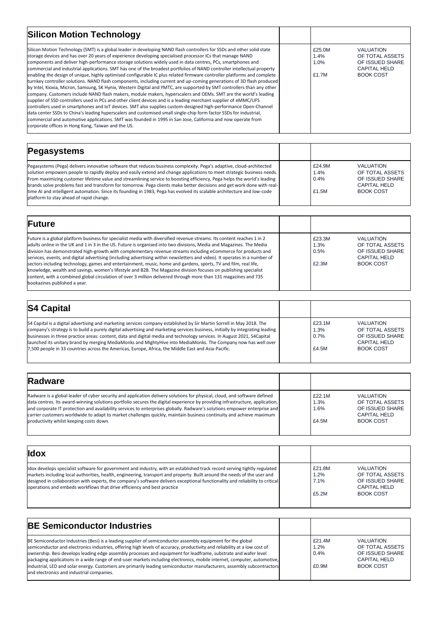| <b>Silicon Motion Technology</b>                                                                                                                                                                                                                                                                                                                                                                                                                                                                                                                                                                                                                                                                                                                                                                                                                                                                                                                                                                                                                                                                                                                                                                                                                                                                                                                                                                                                                                                                                  |                                   |                                                                                            |
|-------------------------------------------------------------------------------------------------------------------------------------------------------------------------------------------------------------------------------------------------------------------------------------------------------------------------------------------------------------------------------------------------------------------------------------------------------------------------------------------------------------------------------------------------------------------------------------------------------------------------------------------------------------------------------------------------------------------------------------------------------------------------------------------------------------------------------------------------------------------------------------------------------------------------------------------------------------------------------------------------------------------------------------------------------------------------------------------------------------------------------------------------------------------------------------------------------------------------------------------------------------------------------------------------------------------------------------------------------------------------------------------------------------------------------------------------------------------------------------------------------------------|-----------------------------------|--------------------------------------------------------------------------------------------|
| Silicon Motion Technology (SMT) is a global leader in developing NAND flash controllers for SSDs and other solid state<br>storage devices and has over 20 years of experience developing specialised processor ICs that manage NAND<br>components and deliver high-performance storage solutions widely used in data centres, PCs, smartphones and<br>commercial and industrial applications. SMT has one of the broadest portfolios of NAND controller intellectual property<br>enabling the design of unique, highly optimised configurable IC plus related firmware controller platforms and complete<br>turnkey controller solutions. NAND flash components, including current and up-coming generations of 3D flash produced<br>by Intel, Kioxia, Micron, Samsung, SK Hynix, Western Digital and YMTC, are supported by SMT controllers than any other<br>company. Customers include NAND flash makers, module makers, hyperscalers and OEMs. SMT are the world's leading<br>supplier of SSD controllers used in PCs and other client devices and is a leading merchant supplier of eMMC/UFS<br>controllers used in smartphones and IoT devices. SMT also supplies custom-designed high-performance Open-Channel<br>data center SSDs to China's leading hyperscalers and customised small single-chip form factor SSDs for industrial,<br>commercial and automotive applications. SMT was founded in 1995 in San Jose, California and now operate from<br>corporate offices in Hong Kong, Taiwan and the US. | £25.0M<br>$.4\%$<br>1.0%<br>£1.7M | VALUATION<br>OF TOTAL ASSETS<br>OF ISSUED SHARE<br><b>CAPITAL HELD</b><br><b>BOOK COST</b> |

| Pegasystems                                                                                                                                                                                                                                                                                                                                                                                                                                                                                                                                                                                                                                                               |                                 |                                                                                     |
|---------------------------------------------------------------------------------------------------------------------------------------------------------------------------------------------------------------------------------------------------------------------------------------------------------------------------------------------------------------------------------------------------------------------------------------------------------------------------------------------------------------------------------------------------------------------------------------------------------------------------------------------------------------------------|---------------------------------|-------------------------------------------------------------------------------------|
| Pegasystems (Pega) delivers innovative software that reduces business complexity. Pega's adaptive, cloud-architected<br>solution empowers people to rapidly deploy and easily extend and change applications to meet strategic business needs.<br>From maximizing customer lifetime value and streamlining service to boosting efficiency, Pega helps the world's leading<br>brands solve problems fast and transform for tomorrow. Pega clients make better decisions and get work done with real-<br>time AI and intelligent automation. Since its founding in 1983, Pega has evolved its scalable architecture and low-code<br>platform to stay ahead of rapid change. | £24.9M<br>1.4%<br>0.4%<br>£1.5M | VALUATION<br>OF TOTAL ASSETS<br>OF ISSUED SHARE<br>CAPITAL HELD<br><b>BOOK COST</b> |

| <b>Future</b>                                                                                                                                                                                                                                                                                                                                                                                                                                                                                                                                                                                                                                                                                                                                                                                                                                                                           |                                 |                                                                                            |
|-----------------------------------------------------------------------------------------------------------------------------------------------------------------------------------------------------------------------------------------------------------------------------------------------------------------------------------------------------------------------------------------------------------------------------------------------------------------------------------------------------------------------------------------------------------------------------------------------------------------------------------------------------------------------------------------------------------------------------------------------------------------------------------------------------------------------------------------------------------------------------------------|---------------------------------|--------------------------------------------------------------------------------------------|
| Future is a global platform business for specialist media with diversified revenue streams. Its content reaches 1 in 2<br>adults online in the UK and 1 in 3 in the US. Future is organised into two divisions, Media and Magazines. The Media<br>division has demonstrated high-growth with complementary revenue streams including eCommerce for products and<br>services, events, and digital advertising (including advertising within newsletters and video). It operates in a number of<br>sectors including technology, games and entertainment, music, home and gardens, sports, TV and film, real life,<br>knowledge, wealth and savings, women's lifestyle and B2B. The Magazine division focuses on publishing specialist<br>content, with a combined global circulation of over 3 million delivered through more than 131 magazines and 735<br>bookazines published a year. | £23.3M<br>1.3%<br>0.5%<br>£2.3M | <b>VALUATION</b><br>OF TOTAL ASSETS<br>OF ISSUED SHARE<br>CAPITAL HELD<br><b>BOOK COST</b> |

| <b>S4 Capital</b>                                                                                                                                                                                                                                                                                                                                                                                                                                                                                                                                                                                          |                                 |                                                                                            |
|------------------------------------------------------------------------------------------------------------------------------------------------------------------------------------------------------------------------------------------------------------------------------------------------------------------------------------------------------------------------------------------------------------------------------------------------------------------------------------------------------------------------------------------------------------------------------------------------------------|---------------------------------|--------------------------------------------------------------------------------------------|
| S4 Capital is a digital advertising and marketing services company established by Sir Martin Sorrell in May 2018. The<br>company's strategy is to build a purely digital advertising and marketing services business, initially by integrating leading<br>businesses in three practice areas: content, data and digital media and technology services. In August 2021, S4Capital<br>llaunched its unitary brand by merging MediaMonks and MightyHive into MediaMonks. The Company now has well over<br>7,500 people in 33 countries across the Americas, Europe, Africa, the Middle East and Asia-Pacific. | £23.1M<br>1.3%<br>0.7%<br>£4.5M | VALUATION<br>OF TOTAL ASSETS<br>OF ISSUED SHARE<br><b>CAPITAL HELD</b><br><b>BOOK COST</b> |

| Radware                                                                                                                                                                                                                                                                                                                                                                                                                                                                                                                                                  |                                 |                                                                                            |
|----------------------------------------------------------------------------------------------------------------------------------------------------------------------------------------------------------------------------------------------------------------------------------------------------------------------------------------------------------------------------------------------------------------------------------------------------------------------------------------------------------------------------------------------------------|---------------------------------|--------------------------------------------------------------------------------------------|
| Radware is a global leader of cyber security and application delivery solutions for physical, cloud, and software defined<br>data centres. Its award-winning solutions portfolio secures the digital experience by providing infrastructure, application,<br>and corporate IT protection and availability services to enterprises globally. Radware's solutions empower enterprise and<br>carrier customers worldwide to adapt to market challenges quickly, maintain business continuity and achieve maximum<br>productivity whilst keeping costs down. | £22.1M<br>1.3%<br>1.6%<br>£4.5M | VALUATION<br>OF TOTAL ASSETS<br>OF ISSUED SHARE<br><b>CAPITAL HELD</b><br><b>BOOK COST</b> |

| <b>Idox</b>                                                                                                                                                                                                                                                                                                                                                                                                                                                        |                                 |                                                                                            |
|--------------------------------------------------------------------------------------------------------------------------------------------------------------------------------------------------------------------------------------------------------------------------------------------------------------------------------------------------------------------------------------------------------------------------------------------------------------------|---------------------------------|--------------------------------------------------------------------------------------------|
| Ildox develops specialist software for government and industry, with an established track record serving tightly regulated<br>markets including local authorities, health, engineering, transport and property. Built around the needs of the user and<br>designed in collaboration with experts, the company's software delivers exceptional functionality and reliability to critical<br>operations and embeds workflows that drive efficiency and best practice | £21.8M<br>1.2%<br>7.1%<br>£5.2M | VALUATION<br>OF TOTAL ASSETS<br>OF ISSUED SHARE<br><b>CAPITAL HELD</b><br><b>BOOK COST</b> |

| <b>BE Semiconductor Industries</b>                                                                                                                                                                                                                                                                                                                                                                                                                                                                                                                                                                                                                             |                                 |                                                                                     |
|----------------------------------------------------------------------------------------------------------------------------------------------------------------------------------------------------------------------------------------------------------------------------------------------------------------------------------------------------------------------------------------------------------------------------------------------------------------------------------------------------------------------------------------------------------------------------------------------------------------------------------------------------------------|---------------------------------|-------------------------------------------------------------------------------------|
| BE Semiconductor Industries (Besi) is a leading supplier of semiconductor assembly equipment for the global<br>semiconductor and electronics industries, offering high levels of accuracy, productivity and reliability at a low cost of<br>ownership. Besi develops leading edge assembly processes and equipment for leadframe, substrate and wafer level<br>packaging applications in a wide range of end-user markets including electronics, mobile internet, computer, automotive,<br>industrial, LED and solar energy. Customers are primarily leading semiconductor manufacturers, assembly subcontractors<br>and electronics and industrial companies. | £21.4M<br>1.2%<br>0.4%<br>£0.9M | VALUATION<br>OF TOTAL ASSETS<br>OF ISSUED SHARE<br>CAPITAL HELD<br><b>BOOK COST</b> |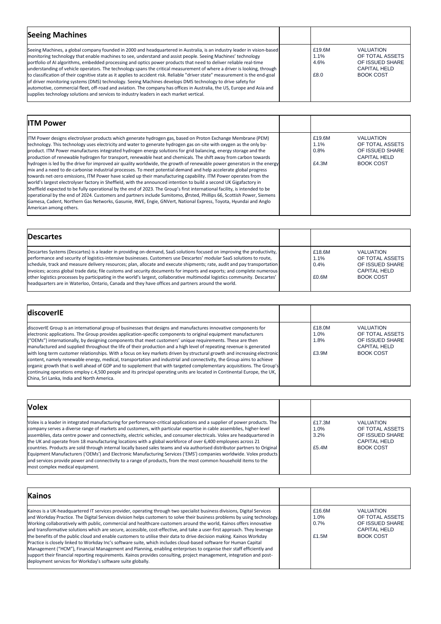| <b>Seeing Machines</b>                                                                                                                                                                                                                                                                                                                                                                                                                                                                                                                                                                                                                                                                                                                                                                                                                                                                                                                                       |                                |                                                                                            |
|--------------------------------------------------------------------------------------------------------------------------------------------------------------------------------------------------------------------------------------------------------------------------------------------------------------------------------------------------------------------------------------------------------------------------------------------------------------------------------------------------------------------------------------------------------------------------------------------------------------------------------------------------------------------------------------------------------------------------------------------------------------------------------------------------------------------------------------------------------------------------------------------------------------------------------------------------------------|--------------------------------|--------------------------------------------------------------------------------------------|
| Seeing Machines, a global company founded in 2000 and headquartered in Australia, is an industry leader in vision-based<br>monitoring technology that enable machines to see, understand and assist people. Seeing Machines' technology<br>portfolio of AI algorithms, embedded processing and optics power products that need to deliver reliable real-time<br>understanding of vehicle operators. The technology spans the critical measurement of where a driver is looking, through<br>to classification of their cognitive state as it applies to accident risk. Reliable "driver state" measurement is the end-goal<br>of driver monitoring systems (DMS) technology. Seeing Machines develops DMS technology to drive safety for<br>automotive, commercial fleet, off-road and aviation. The company has offices in Australia, the US, Europe and Asia and<br>supplies technology solutions and services to industry leaders in each market vertical. | £19.6M<br>1.1%<br>4.6%<br>£8.0 | <b>VALUATION</b><br>OF TOTAL ASSETS<br>OF ISSUED SHARE<br>CAPITAL HELD<br><b>BOOK COST</b> |

| <b>ITM Power</b>                                                                                                                                                                                                                                                                                                                                                                                                                                                                                                                                                                                                                                                                                                                                                                                                                                                                                                                                                                                                                                                                                                                                                                                                                                                                                                                                                          |                                 |                                                                                                   |
|---------------------------------------------------------------------------------------------------------------------------------------------------------------------------------------------------------------------------------------------------------------------------------------------------------------------------------------------------------------------------------------------------------------------------------------------------------------------------------------------------------------------------------------------------------------------------------------------------------------------------------------------------------------------------------------------------------------------------------------------------------------------------------------------------------------------------------------------------------------------------------------------------------------------------------------------------------------------------------------------------------------------------------------------------------------------------------------------------------------------------------------------------------------------------------------------------------------------------------------------------------------------------------------------------------------------------------------------------------------------------|---------------------------------|---------------------------------------------------------------------------------------------------|
| ITM Power designs electrolyser products which generate hydrogen gas, based on Proton Exchange Membrane (PEM)<br>technology. This technology uses electricity and water to generate hydrogen gas on-site with oxygen as the only by-<br>product. ITM Power manufactures integrated hydrogen energy solutions for grid balancing, energy storage and the<br>production of renewable hydrogen for transport, renewable heat and chemicals. The shift away from carbon towards<br>hydrogen is led by the drive for improved air quality worldwide, the growth of renewable power generators in the energy<br>mix and a need to de-carbonise industrial processes. To meet potential demand and help accelerate global progress<br>towards net-zero emissions, ITM Power have scaled up their manufacturing capability. ITM Power operates from the<br>world's largest electrolyser factory in Sheffield, with the announced intention to build a second UK Gigafactory in<br>Sheffield expected to be fully operational by the end of 2023. The Group's first international facility, is intended to be<br>operational by the end of 2024. Customers and partners include Sumitomo, Ørsted, Phillips 66, Scottish Power, Siemens<br>Gamesa, Cadent, Northern Gas Networks, Gasunie, RWE, Engie, GNVert, National Express, Toyota, Hyundai and Anglo<br>American among others. | £19.6M<br>1.1%<br>0.8%<br>£4.3M | <b>VALUATION</b><br>OF TOTAL ASSETS<br>OF ISSUED SHARE<br><b>CAPITAL HELD</b><br><b>BOOK COST</b> |

| <b>Descartes</b>                                                                                                                                                                                                                                                                                                                                                                                                                                                                                                                                                                                                                                                                                                                            |                                 |                                                                                            |
|---------------------------------------------------------------------------------------------------------------------------------------------------------------------------------------------------------------------------------------------------------------------------------------------------------------------------------------------------------------------------------------------------------------------------------------------------------------------------------------------------------------------------------------------------------------------------------------------------------------------------------------------------------------------------------------------------------------------------------------------|---------------------------------|--------------------------------------------------------------------------------------------|
| Descartes Systems (Descartes) is a leader in providing on-demand, SaaS solutions focused on improving the productivity,<br>performance and security of logistics-intensive businesses. Customers use Descartes' modular SaaS solutions to route,<br>schedule, track and measure delivery resources; plan, allocate and execute shipments; rate, audit and pay transportation<br>invoices; access global trade data; file customs and security documents for imports and exports; and complete numerous<br>other logistics processes by participating in the world's largest, collaborative multimodal logistics community. Descartes'<br>headquarters are in Waterloo, Ontario, Canada and they have offices and partners around the world. | £18.6M<br>1.1%<br>0.4%<br>£0.6M | VALUATION<br>OF TOTAL ASSETS<br>OF ISSUED SHARE<br><b>CAPITAL HELD</b><br><b>BOOK COST</b> |

| discoverIE                                                                                                                                                                                                                                                                                                                                                                                                                                                                                                                                                                                                                                                                                                                                                                                                                                                                                                                                                                                                                       |                                 |                                                                                            |
|----------------------------------------------------------------------------------------------------------------------------------------------------------------------------------------------------------------------------------------------------------------------------------------------------------------------------------------------------------------------------------------------------------------------------------------------------------------------------------------------------------------------------------------------------------------------------------------------------------------------------------------------------------------------------------------------------------------------------------------------------------------------------------------------------------------------------------------------------------------------------------------------------------------------------------------------------------------------------------------------------------------------------------|---------------------------------|--------------------------------------------------------------------------------------------|
| discoverIE Group is an international group of businesses that designs and manufactures innovative components for<br>electronic applications. The Group provides application-specific components to original equipment manufacturers<br>("OEMs") internationally, by designing components that meet customers' unique requirements. These are then<br>manufactured and supplied throughout the life of their production and a high level of repeating revenue is generated<br>with long term customer relationships. With a focus on key markets driven by structural growth and increasing electronic<br>content, namely renewable energy, medical, transportation and industrial and connectivity, the Group aims to achieve<br>organic growth that is well ahead of GDP and to supplement that with targeted complementary acquisitions. The Group's<br>continuing operations employ c.4,500 people and its principal operating units are located in Continental Europe, the UK,<br>China, Sri Lanka, India and North America. | £18.0M<br>1.0%<br>1.8%<br>£3.9M | VALUATION<br>OF TOTAL ASSETS<br>OF ISSUED SHARE<br><b>CAPITAL HELD</b><br><b>BOOK COST</b> |

| <b>Volex</b>                                                                                                                                                                                                                                                                                                                                                                                                                                                                                                                                                                                                                                                                                                                                                                                                                                                                                            |                                 |                                                                                     |
|---------------------------------------------------------------------------------------------------------------------------------------------------------------------------------------------------------------------------------------------------------------------------------------------------------------------------------------------------------------------------------------------------------------------------------------------------------------------------------------------------------------------------------------------------------------------------------------------------------------------------------------------------------------------------------------------------------------------------------------------------------------------------------------------------------------------------------------------------------------------------------------------------------|---------------------------------|-------------------------------------------------------------------------------------|
| Volex is a leader in integrated manufacturing for performance-critical applications and a supplier of power products. The<br>company serves a diverse range of markets and customers, with particular expertise in cable assemblies, higher-level<br>assemblies, data centre power and connectivity, electric vehicles, and consumer electricals. Volex are headquartered in<br>the UK and operate from 18 manufacturing locations with a global workforce of over 6,400 employees across 21<br>countries. Products are sold through internal locally based sales teams and via authorised distributor partners to Original<br>Equipment Manufacturers ('OEMs') and Electronic Manufacturing Services ('EMS') companies worldwide. Volex products<br>and services provide power and connectivity to a range of products, from the most common household items to the<br>most complex medical equipment. | £17.3M<br>1.0%<br>3.2%<br>£5.4M | VALUATION<br>OF TOTAL ASSETS<br>OF ISSUED SHARE<br>CAPITAL HELD<br><b>BOOK COST</b> |

| <b>Kainos</b>                                                                                                                                                                                                                                                                                                                                                                                                                                                                                                                                                                                                                                                                                                                                                                                                                                                                                                                                                                                                                                                       |                                 |                                                                                                   |
|---------------------------------------------------------------------------------------------------------------------------------------------------------------------------------------------------------------------------------------------------------------------------------------------------------------------------------------------------------------------------------------------------------------------------------------------------------------------------------------------------------------------------------------------------------------------------------------------------------------------------------------------------------------------------------------------------------------------------------------------------------------------------------------------------------------------------------------------------------------------------------------------------------------------------------------------------------------------------------------------------------------------------------------------------------------------|---------------------------------|---------------------------------------------------------------------------------------------------|
| Kainos is a UK-headquartered IT services provider, operating through two specialist business divisions, Digital Services<br>and Workday Practice. The Digital Services division helps customers to solve their business problems by using technology.<br>Working collaboratively with public, commercial and healthcare customers around the world, Kainos offers innovative<br>and transformative solutions which are secure, accessible, cost-effective, and take a user-first approach. They leverage<br>the benefits of the public cloud and enable customers to utilise their data to drive decision making. Kainos Workday<br>Practice is closely linked to Workday Inc's software suite, which includes cloud-based software for Human Capital<br>Management ("HCM"), Financial Management and Planning, enabling enterprises to organise their staff efficiently and<br>support their financial reporting requirements. Kainos provides consulting, project management, integration and post-<br>deployment services for Workday's software suite globally. | £16.6M<br>1.0%<br>0.7%<br>£1.5M | <b>VALUATION</b><br>OF TOTAL ASSETS<br>OF ISSUED SHARE<br><b>CAPITAL HELD</b><br><b>BOOK COST</b> |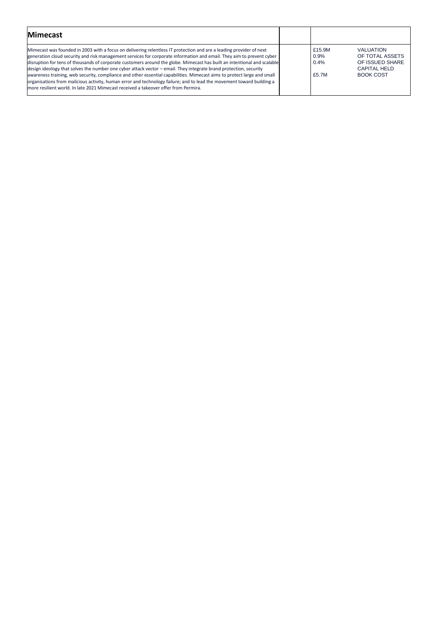| <b>Mimecast</b>                                                                                                                                                                                                                                                                                                                                                                                                                                                                                                                                                                                                                                                                                                                                                                                                                          |                                 |                                                                                     |
|------------------------------------------------------------------------------------------------------------------------------------------------------------------------------------------------------------------------------------------------------------------------------------------------------------------------------------------------------------------------------------------------------------------------------------------------------------------------------------------------------------------------------------------------------------------------------------------------------------------------------------------------------------------------------------------------------------------------------------------------------------------------------------------------------------------------------------------|---------------------------------|-------------------------------------------------------------------------------------|
| Mimecast was founded in 2003 with a focus on delivering relentless IT protection and are a leading provider of next<br>generation cloud security and risk management services for corporate information and email. They aim to prevent cyber<br>disruption for tens of thousands of corporate customers around the globe. Mimecast has built an intentional and scalable<br>design ideology that solves the number one cyber attack vector - email. They integrate brand protection, security<br>awareness training, web security, compliance and other essential capabilities. Mimecast aims to protect large and small<br>organisations from malicious activity, human error and technology failure; and to lead the movement toward building a<br>more resilient world. In late 2021 Mimecast received a takeover offer from Permira. | £15.9M<br>0.9%<br>0.4%<br>£5.7M | VALUATION<br>OF TOTAL ASSETS<br>OF ISSUED SHARE<br>CAPITAL HELD<br><b>BOOK COST</b> |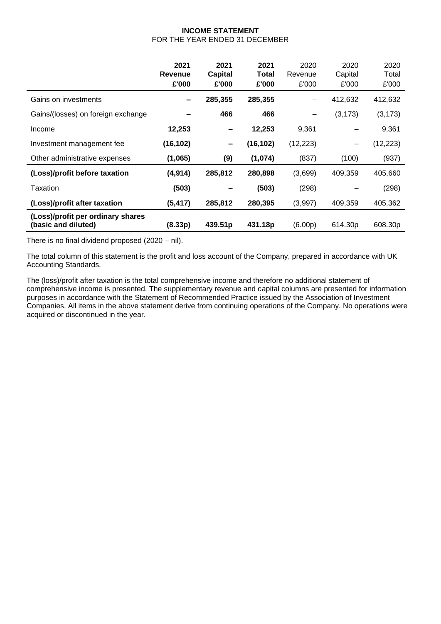#### **INCOME STATEMENT** FOR THE YEAR ENDED 31 DECEMBER

|                                                          | 2021<br>Revenue<br>£'000 | 2021<br><b>Capital</b><br>£'000 | 2021<br>Total<br>£'000 | 2020<br>Revenue<br>£'000 | 2020<br>Capital<br>£'000 | 2020<br>Total<br>£'000 |
|----------------------------------------------------------|--------------------------|---------------------------------|------------------------|--------------------------|--------------------------|------------------------|
| Gains on investments                                     |                          | 285,355                         | 285,355                |                          | 412,632                  | 412,632                |
| Gains/(losses) on foreign exchange                       |                          | 466                             | 466                    |                          | (3, 173)                 | (3, 173)               |
| Income                                                   | 12,253                   | -                               | 12,253                 | 9,361                    |                          | 9,361                  |
| Investment management fee                                | (16, 102)                | -                               | (16, 102)              | (12, 223)                |                          | (12, 223)              |
| Other administrative expenses                            | (1,065)                  | (9)                             | (1,074)                | (837)                    | (100)                    | (937)                  |
| (Loss)/profit before taxation                            | (4, 914)                 | 285,812                         | 280,898                | (3,699)                  | 409,359                  | 405,660                |
| Taxation                                                 | (503)                    |                                 | (503)                  | (298)                    |                          | (298)                  |
| (Loss)/profit after taxation                             | (5, 417)                 | 285,812                         | 280,395                | (3,997)                  | 409,359                  | 405,362                |
| (Loss)/profit per ordinary shares<br>(basic and diluted) | (8.33p)                  | 439.51p                         | 431.18p                | (6.00p)                  | 614.30p                  | 608.30p                |

There is no final dividend proposed (2020 – nil).

The total column of this statement is the profit and loss account of the Company, prepared in accordance with UK Accounting Standards.

The (loss)/profit after taxation is the total comprehensive income and therefore no additional statement of comprehensive income is presented. The supplementary revenue and capital columns are presented for information purposes in accordance with the Statement of Recommended Practice issued by the Association of Investment Companies. All items in the above statement derive from continuing operations of the Company. No operations were acquired or discontinued in the year.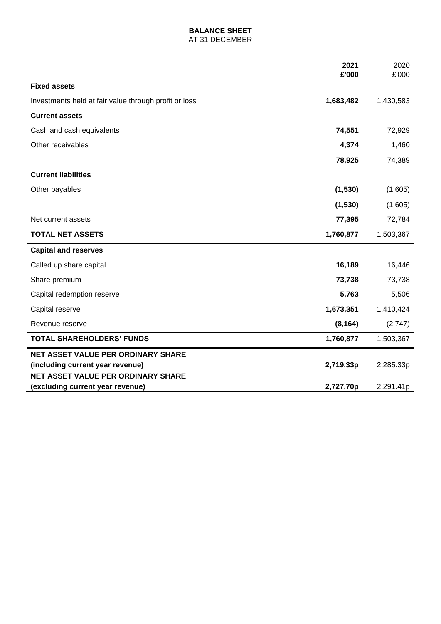## **BALANCE SHEET** AT 31 DECEMBER

|                                                                        | 2021<br>£'000 | 2020<br>£'000 |
|------------------------------------------------------------------------|---------------|---------------|
| <b>Fixed assets</b>                                                    |               |               |
| Investments held at fair value through profit or loss                  | 1,683,482     | 1,430,583     |
| <b>Current assets</b>                                                  |               |               |
| Cash and cash equivalents                                              | 74,551        | 72,929        |
| Other receivables                                                      | 4,374         | 1,460         |
|                                                                        | 78,925        | 74,389        |
| <b>Current liabilities</b>                                             |               |               |
| Other payables                                                         | (1,530)       | (1,605)       |
|                                                                        | (1,530)       | (1,605)       |
| Net current assets                                                     | 77,395        | 72,784        |
| <b>TOTAL NET ASSETS</b>                                                | 1,760,877     | 1,503,367     |
| <b>Capital and reserves</b>                                            |               |               |
| Called up share capital                                                | 16,189        | 16,446        |
| Share premium                                                          | 73,738        | 73,738        |
| Capital redemption reserve                                             | 5,763         | 5,506         |
| Capital reserve                                                        | 1,673,351     | 1,410,424     |
| Revenue reserve                                                        | (8, 164)      | (2,747)       |
| <b>TOTAL SHAREHOLDERS' FUNDS</b>                                       | 1,760,877     | 1,503,367     |
| <b>NET ASSET VALUE PER ORDINARY SHARE</b>                              |               |               |
| (including current year revenue)                                       | 2,719.33p     | 2,285.33p     |
| NET ASSET VALUE PER ORDINARY SHARE<br>(excluding current year revenue) | 2,727.70p     | 2,291.41p     |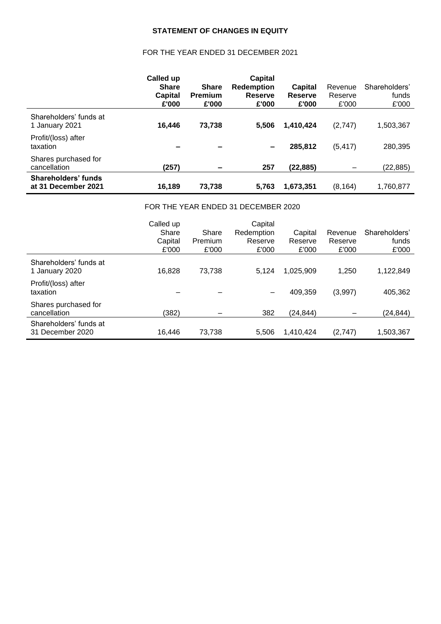## **STATEMENT OF CHANGES IN EQUITY**

## FOR THE YEAR ENDED 31 DECEMBER 2021

|                                            | Called up<br><b>Share</b><br>Capital<br>£'000 | <b>Share</b><br><b>Premium</b><br>£'000 | Capital<br><b>Redemption</b><br>Reserve<br>£'000 | Capital<br><b>Reserve</b><br>£'000 | Revenue<br>Reserve<br>£'000 | Shareholders'<br>funds<br>£'000 |
|--------------------------------------------|-----------------------------------------------|-----------------------------------------|--------------------------------------------------|------------------------------------|-----------------------------|---------------------------------|
| Shareholders' funds at<br>1 January 2021   | 16,446                                        | 73,738                                  | 5,506                                            | 1,410,424                          | (2,747)                     | 1,503,367                       |
| Profit/(loss) after<br>taxation            |                                               |                                         | $\overline{\phantom{a}}$                         | 285,812                            | (5, 417)                    | 280,395                         |
| Shares purchased for<br>cancellation       | (257)                                         |                                         | 257                                              | (22,885)                           |                             | (22, 885)                       |
| Shareholders' funds<br>at 31 December 2021 | 16.189                                        | 73.738                                  | 5,763                                            | 1,673,351                          | (8, 164)                    | 1,760,877                       |

#### FOR THE YEAR ENDED 31 DECEMBER 2020

|                                            | Called up<br>Share<br>Capital<br>£'000 | Share<br>Premium<br>£'000 | Capital<br>Redemption<br>Reserve<br>£'000 | Capital<br>Reserve<br>£'000 | Revenue<br>Reserve<br>£'000 | Shareholders'<br>funds<br>£'000 |
|--------------------------------------------|----------------------------------------|---------------------------|-------------------------------------------|-----------------------------|-----------------------------|---------------------------------|
| Shareholders' funds at<br>1 January 2020   | 16.828                                 | 73,738                    | 5.124                                     | 1.025.909                   | 1,250                       | 1,122,849                       |
| Profit/(loss) after<br>taxation            |                                        |                           |                                           | 409.359                     | (3,997)                     | 405,362                         |
| Shares purchased for<br>cancellation       | (382)                                  |                           | 382                                       | (24, 844)                   |                             | (24,844)                        |
| Shareholders' funds at<br>31 December 2020 | 16.446                                 | 73,738                    | 5,506                                     | 1.410.424                   | (2,747)                     | 1,503,367                       |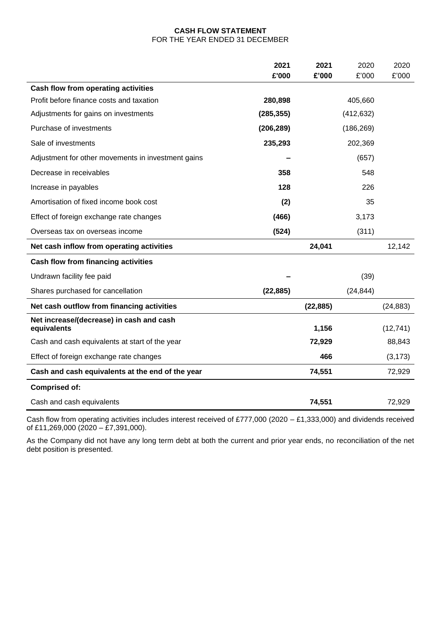## **CASH FLOW STATEMENT** FOR THE YEAR ENDED 31 DECEMBER

|                                                         | 2021<br>£'000 | 2021<br>£'000 | 2020<br>£'000 | 2020<br>£'000 |
|---------------------------------------------------------|---------------|---------------|---------------|---------------|
| Cash flow from operating activities                     |               |               |               |               |
| Profit before finance costs and taxation                | 280,898       |               | 405,660       |               |
| Adjustments for gains on investments                    | (285, 355)    |               | (412, 632)    |               |
| Purchase of investments                                 | (206, 289)    |               | (186, 269)    |               |
| Sale of investments                                     | 235,293       |               | 202,369       |               |
| Adjustment for other movements in investment gains      |               |               | (657)         |               |
| Decrease in receivables                                 | 358           |               | 548           |               |
| Increase in payables                                    | 128           |               | 226           |               |
| Amortisation of fixed income book cost                  | (2)           |               | 35            |               |
| Effect of foreign exchange rate changes                 | (466)         |               | 3,173         |               |
| Overseas tax on overseas income                         | (524)         |               | (311)         |               |
| Net cash inflow from operating activities               |               | 24,041        |               | 12,142        |
| <b>Cash flow from financing activities</b>              |               |               |               |               |
| Undrawn facility fee paid                               |               |               | (39)          |               |
| Shares purchased for cancellation                       | (22, 885)     |               | (24, 844)     |               |
| Net cash outflow from financing activities              |               | (22, 885)     |               | (24, 883)     |
| Net increase/(decrease) in cash and cash<br>equivalents |               | 1,156         |               | (12, 741)     |
| Cash and cash equivalents at start of the year          |               | 72,929        |               | 88,843        |
| Effect of foreign exchange rate changes                 |               | 466           |               | (3, 173)      |
| Cash and cash equivalents at the end of the year        |               | 74,551        |               | 72,929        |
| <b>Comprised of:</b>                                    |               |               |               |               |
| Cash and cash equivalents                               |               | 74,551        |               | 72,929        |

Cash flow from operating activities includes interest received of £777,000 (2020 – £1,333,000) and dividends received of £11,269,000 (2020 – £7,391,000).

As the Company did not have any long term debt at both the current and prior year ends, no reconciliation of the net debt position is presented.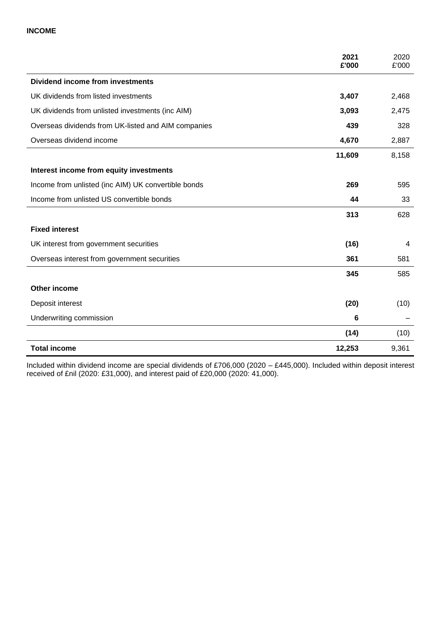|                                                     | 2021<br>£'000 | 2020<br>£'000 |
|-----------------------------------------------------|---------------|---------------|
| <b>Dividend income from investments</b>             |               |               |
| UK dividends from listed investments                | 3,407         | 2,468         |
| UK dividends from unlisted investments (inc AIM)    | 3,093         | 2,475         |
| Overseas dividends from UK-listed and AIM companies | 439           | 328           |
| Overseas dividend income                            | 4,670         | 2,887         |
|                                                     | 11,609        | 8,158         |
| Interest income from equity investments             |               |               |
| Income from unlisted (inc AIM) UK convertible bonds | 269           | 595           |
| Income from unlisted US convertible bonds           | 44            | 33            |
|                                                     | 313           | 628           |
| <b>Fixed interest</b>                               |               |               |
| UK interest from government securities              | (16)          | 4             |
| Overseas interest from government securities        | 361           | 581           |
|                                                     | 345           | 585           |
| Other income                                        |               |               |
| Deposit interest                                    | (20)          | (10)          |
| Underwriting commission                             | 6             |               |
|                                                     | (14)          | (10)          |
| <b>Total income</b>                                 | 12,253        | 9,361         |

Included within dividend income are special dividends of £706,000 (2020 – £445,000). Included within deposit interest received of £nil (2020: £31,000), and interest paid of £20,000 (2020: 41,000).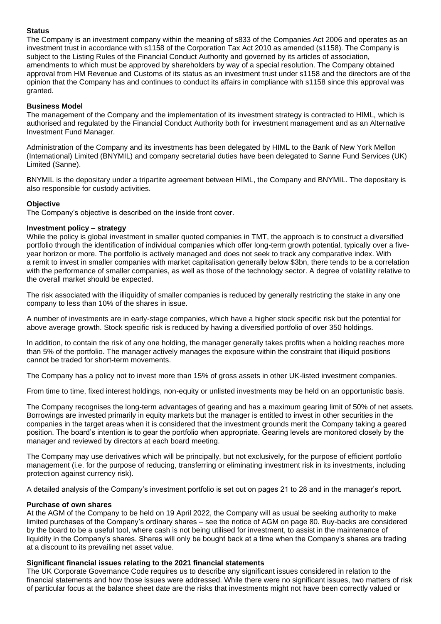#### **Status**

The Company is an investment company within the meaning of s833 of the Companies Act 2006 and operates as an investment trust in accordance with s1158 of the Corporation Tax Act 2010 as amended (s1158). The Company is subject to the Listing Rules of the Financial Conduct Authority and governed by its articles of association, amendments to which must be approved by shareholders by way of a special resolution. The Company obtained approval from HM Revenue and Customs of its status as an investment trust under s1158 and the directors are of the opinion that the Company has and continues to conduct its affairs in compliance with s1158 since this approval was granted.

#### **Business Model**

The management of the Company and the implementation of its investment strategy is contracted to HIML, which is authorised and regulated by the Financial Conduct Authority both for investment management and as an Alternative Investment Fund Manager.

Administration of the Company and its investments has been delegated by HIML to the Bank of New York Mellon (International) Limited (BNYMIL) and company secretarial duties have been delegated to Sanne Fund Services (UK) Limited (Sanne).

BNYMIL is the depositary under a tripartite agreement between HIML, the Company and BNYMIL. The depositary is also responsible for custody activities.

#### **Objective**

The Company's objective is described on the inside front cover.

#### **Investment policy – strategy**

While the policy is global investment in smaller quoted companies in TMT, the approach is to construct a diversified portfolio through the identification of individual companies which offer long-term growth potential, typically over a fiveyear horizon or more. The portfolio is actively managed and does not seek to track any comparative index. With a remit to invest in smaller companies with market capitalisation generally below \$3bn, there tends to be a correlation with the performance of smaller companies, as well as those of the technology sector. A degree of volatility relative to the overall market should be expected.

The risk associated with the illiquidity of smaller companies is reduced by generally restricting the stake in any one company to less than 10% of the shares in issue.

A number of investments are in early-stage companies, which have a higher stock specific risk but the potential for above average growth. Stock specific risk is reduced by having a diversified portfolio of over 350 holdings.

In addition, to contain the risk of any one holding, the manager generally takes profits when a holding reaches more than 5% of the portfolio. The manager actively manages the exposure within the constraint that illiquid positions cannot be traded for short-term movements.

The Company has a policy not to invest more than 15% of gross assets in other UK-listed investment companies.

From time to time, fixed interest holdings, non-equity or unlisted investments may be held on an opportunistic basis.

The Company recognises the long-term advantages of gearing and has a maximum gearing limit of 50% of net assets. Borrowings are invested primarily in equity markets but the manager is entitled to invest in other securities in the companies in the target areas when it is considered that the investment grounds merit the Company taking a geared position. The board's intention is to gear the portfolio when appropriate. Gearing levels are monitored closely by the manager and reviewed by directors at each board meeting.

The Company may use derivatives which will be principally, but not exclusively, for the purpose of efficient portfolio management (i.e. for the purpose of reducing, transferring or eliminating investment risk in its investments, including protection against currency risk).

A detailed analysis of the Company's investment portfolio is set out on pages 21 to 28 and in the manager's report.

#### **Purchase of own shares**

At the AGM of the Company to be held on 19 April 2022, the Company will as usual be seeking authority to make limited purchases of the Company's ordinary shares – see the notice of AGM on page 80. Buy-backs are considered by the board to be a useful tool, where cash is not being utilised for investment, to assist in the maintenance of liquidity in the Company's shares. Shares will only be bought back at a time when the Company's shares are trading at a discount to its prevailing net asset value.

#### **Significant financial issues relating to the 2021 financial statements**

The UK Corporate Governance Code requires us to describe any significant issues considered in relation to the financial statements and how those issues were addressed. While there were no significant issues, two matters of risk of particular focus at the balance sheet date are the risks that investments might not have been correctly valued or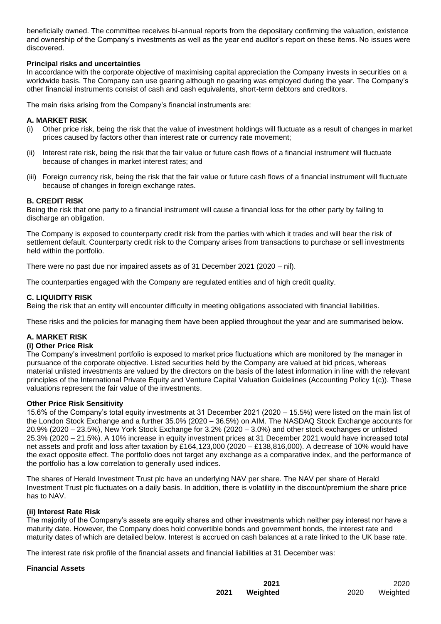beneficially owned. The committee receives bi-annual reports from the depositary confirming the valuation, existence and ownership of the Company's investments as well as the year end auditor's report on these items. No issues were discovered.

#### **Principal risks and uncertainties**

In accordance with the corporate objective of maximising capital appreciation the Company invests in securities on a worldwide basis. The Company can use gearing although no gearing was employed during the year. The Company's other financial instruments consist of cash and cash equivalents, short-term debtors and creditors.

The main risks arising from the Company's financial instruments are:

#### **A. MARKET RISK**

- (i) Other price risk, being the risk that the value of investment holdings will fluctuate as a result of changes in market prices caused by factors other than interest rate or currency rate movement;
- (ii) Interest rate risk, being the risk that the fair value or future cash flows of a financial instrument will fluctuate because of changes in market interest rates; and
- (iii) Foreign currency risk, being the risk that the fair value or future cash flows of a financial instrument will fluctuate because of changes in foreign exchange rates.

#### **B. CREDIT RISK**

Being the risk that one party to a financial instrument will cause a financial loss for the other party by failing to discharge an obligation.

The Company is exposed to counterparty credit risk from the parties with which it trades and will bear the risk of settlement default. Counterparty credit risk to the Company arises from transactions to purchase or sell investments held within the portfolio.

There were no past due nor impaired assets as of 31 December 2021 (2020 – nil).

The counterparties engaged with the Company are regulated entities and of high credit quality.

#### **C. LIQUIDITY RISK**

Being the risk that an entity will encounter difficulty in meeting obligations associated with financial liabilities.

These risks and the policies for managing them have been applied throughout the year and are summarised below.

## **A. MARKET RISK**

## **(i) Other Price Risk**

The Company's investment portfolio is exposed to market price fluctuations which are monitored by the manager in pursuance of the corporate objective. Listed securities held by the Company are valued at bid prices, whereas material unlisted investments are valued by the directors on the basis of the latest information in line with the relevant principles of the International Private Equity and Venture Capital Valuation Guidelines (Accounting Policy 1(c)). These valuations represent the fair value of the investments.

#### **Other Price Risk Sensitivity**

15.6% of the Company's total equity investments at 31 December 2021 (2020 – 15.5%) were listed on the main list of the London Stock Exchange and a further 35.0% (2020 – 36.5%) on AIM. The NASDAQ Stock Exchange accounts for 20.9% (2020 – 23.5%), New York Stock Exchange for 3.2% (2020 – 3.0%) and other stock exchanges or unlisted 25.3% (2020 – 21.5%). A 10% increase in equity investment prices at 31 December 2021 would have increased total net assets and profit and loss after taxation by £164,123,000 (2020 – £138,816,000). A decrease of 10% would have the exact opposite effect. The portfolio does not target any exchange as a comparative index, and the performance of the portfolio has a low correlation to generally used indices.

The shares of Herald Investment Trust plc have an underlying NAV per share. The NAV per share of Herald Investment Trust plc fluctuates on a daily basis. In addition, there is volatility in the discount/premium the share price has to NAV.

## **(ii) Interest Rate Risk**

The majority of the Company's assets are equity shares and other investments which neither pay interest nor have a maturity date. However, the Company does hold convertible bonds and government bonds, the interest rate and maturity dates of which are detailed below. Interest is accrued on cash balances at a rate linked to the UK base rate.

The interest rate risk profile of the financial assets and financial liabilities at 31 December was:

#### **Financial Assets**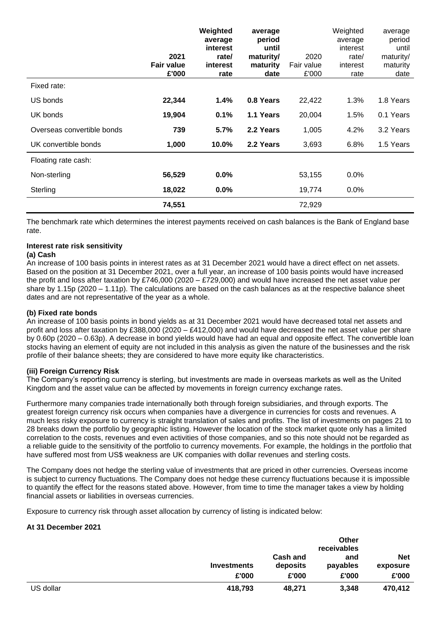|                            |                   | Weighted | average   |            | Weighted | average   |
|----------------------------|-------------------|----------|-----------|------------|----------|-----------|
|                            |                   | average  | period    |            | average  | period    |
|                            |                   | interest | until     |            | interest | until     |
|                            | 2021              | rate/    | maturity/ | 2020       | rate/    | maturity/ |
|                            | <b>Fair value</b> | interest | maturity  | Fair value | interest | maturity  |
|                            | £'000             | rate     | date      | £'000      | rate     | date      |
| Fixed rate:                |                   |          |           |            |          |           |
| US bonds                   | 22,344            | 1.4%     | 0.8 Years | 22,422     | 1.3%     | 1.8 Years |
| UK bonds                   | 19,904            | 0.1%     | 1.1 Years | 20,004     | 1.5%     | 0.1 Years |
| Overseas convertible bonds | 739               | 5.7%     | 2.2 Years | 1,005      | 4.2%     | 3.2 Years |
| UK convertible bonds       | 1,000             | 10.0%    | 2.2 Years | 3,693      | 6.8%     | 1.5 Years |
| Floating rate cash:        |                   |          |           |            |          |           |
| Non-sterling               | 56,529            | 0.0%     |           | 53,155     | 0.0%     |           |
| Sterling                   | 18,022            | $0.0\%$  |           | 19,774     | $0.0\%$  |           |
|                            | 74,551            |          |           | 72,929     |          |           |

The benchmark rate which determines the interest payments received on cash balances is the Bank of England base rate.

# **Interest rate risk sensitivity**

## **(a) Cash**

An increase of 100 basis points in interest rates as at 31 December 2021 would have a direct effect on net assets. Based on the position at 31 December 2021, over a full year, an increase of 100 basis points would have increased the profit and loss after taxation by £746,000 (2020 – £729,000) and would have increased the net asset value per share by 1.15p (2020 – 1.11p). The calculations are based on the cash balances as at the respective balance sheet dates and are not representative of the year as a whole.

#### **(b) Fixed rate bonds**

An increase of 100 basis points in bond yields as at 31 December 2021 would have decreased total net assets and profit and loss after taxation by £388,000 (2020 – £412,000) and would have decreased the net asset value per share by 0.60p (2020 – 0.63p). A decrease in bond yields would have had an equal and opposite effect. The convertible loan stocks having an element of equity are not included in this analysis as given the nature of the businesses and the risk profile of their balance sheets; they are considered to have more equity like characteristics.

#### **(iii) Foreign Currency Risk**

The Company's reporting currency is sterling, but investments are made in overseas markets as well as the United Kingdom and the asset value can be affected by movements in foreign currency exchange rates.

Furthermore many companies trade internationally both through foreign subsidiaries, and through exports. The greatest foreign currency risk occurs when companies have a divergence in currencies for costs and revenues. A much less risky exposure to currency is straight translation of sales and profits. The list of investments on pages 21 to 28 breaks down the portfolio by geographic listing. However the location of the stock market quote only has a limited correlation to the costs, revenues and even activities of those companies, and so this note should not be regarded as a reliable guide to the sensitivity of the portfolio to currency movements. For example, the holdings in the portfolio that have suffered most from US\$ weakness are UK companies with dollar revenues and sterling costs.

The Company does not hedge the sterling value of investments that are priced in other currencies. Overseas income is subject to currency fluctuations. The Company does not hedge these currency fluctuations because it is impossible to quantify the effect for the reasons stated above. However, from time to time the manager takes a view by holding financial assets or liabilities in overseas currencies.

Exposure to currency risk through asset allocation by currency of listing is indicated below:

#### **At 31 December 2021**

|           |             |                             | <b>Other</b><br>receivables |                        |
|-----------|-------------|-----------------------------|-----------------------------|------------------------|
|           | Investments | <b>Cash and</b><br>deposits | and<br>payables             | <b>Net</b><br>exposure |
|           | £'000       | £'000                       | £'000                       | £'000                  |
| US dollar | 418,793     | 48,271                      | 3,348                       | 470,412                |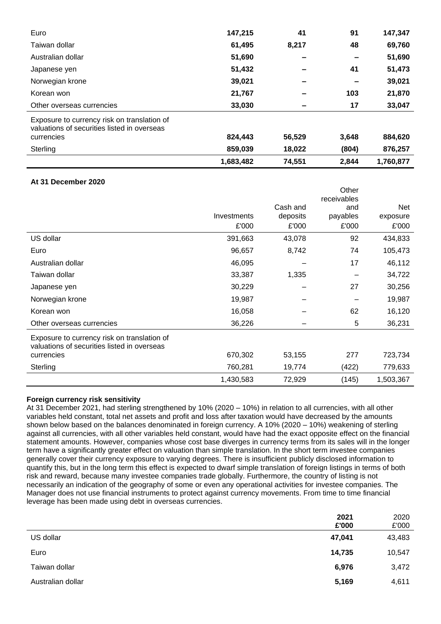| Euro                                                                                                     | 147,215   | 41     | 91    | 147,347   |
|----------------------------------------------------------------------------------------------------------|-----------|--------|-------|-----------|
| Taiwan dollar                                                                                            | 61,495    | 8,217  | 48    | 69,760    |
| Australian dollar                                                                                        | 51,690    |        |       | 51,690    |
| Japanese yen                                                                                             | 51,432    |        | 41    | 51,473    |
| Norwegian krone                                                                                          | 39,021    |        |       | 39,021    |
| Korean won                                                                                               | 21,767    |        | 103   | 21,870    |
| Other overseas currencies                                                                                | 33,030    |        | 17    | 33,047    |
| Exposure to currency risk on translation of<br>valuations of securities listed in overseas<br>currencies | 824,443   | 56,529 | 3,648 | 884,620   |
| Sterling                                                                                                 | 859,039   | 18,022 | (804) | 876,257   |
|                                                                                                          | 1,683,482 | 74,551 | 2,844 | 1,760,877 |

## **At 31 December 2020**

|                                                                                            |                      |                               | Other<br>receivables     |                                 |
|--------------------------------------------------------------------------------------------|----------------------|-------------------------------|--------------------------|---------------------------------|
|                                                                                            | Investments<br>£'000 | Cash and<br>deposits<br>£'000 | and<br>payables<br>£'000 | <b>Net</b><br>exposure<br>£'000 |
| US dollar                                                                                  | 391,663              | 43,078                        | 92                       | 434,833                         |
| Euro                                                                                       | 96,657               | 8,742                         | 74                       | 105,473                         |
| Australian dollar                                                                          | 46,095               |                               | 17                       | 46,112                          |
| Taiwan dollar                                                                              | 33,387               | 1,335                         |                          | 34,722                          |
| Japanese yen                                                                               | 30,229               |                               | 27                       | 30,256                          |
| Norwegian krone                                                                            | 19,987               |                               |                          | 19,987                          |
| Korean won                                                                                 | 16,058               |                               | 62                       | 16,120                          |
| Other overseas currencies                                                                  | 36,226               |                               | 5                        | 36,231                          |
| Exposure to currency risk on translation of<br>valuations of securities listed in overseas |                      |                               |                          |                                 |
| currencies                                                                                 | 670,302              | 53,155                        | 277                      | 723,734                         |
| Sterling                                                                                   | 760,281              | 19,774                        | (422)                    | 779,633                         |
|                                                                                            | 1,430,583            | 72,929                        | (145)                    | 1,503,367                       |

#### **Foreign currency risk sensitivity**

At 31 December 2021, had sterling strengthened by 10% (2020 – 10%) in relation to all currencies, with all other variables held constant, total net assets and profit and loss after taxation would have decreased by the amounts shown below based on the balances denominated in foreign currency. A 10% (2020 – 10%) weakening of sterling against all currencies, with all other variables held constant, would have had the exact opposite effect on the financial statement amounts. However, companies whose cost base diverges in currency terms from its sales will in the longer term have a significantly greater effect on valuation than simple translation. In the short term investee companies generally cover their currency exposure to varying degrees. There is insufficient publicly disclosed information to quantify this, but in the long term this effect is expected to dwarf simple translation of foreign listings in terms of both risk and reward, because many investee companies trade globally. Furthermore, the country of listing is not necessarily an indication of the geography of some or even any operational activities for investee companies. The Manager does not use financial instruments to protect against currency movements. From time to time financial leverage has been made using debt in overseas currencies.

|                   | 2021<br>£'000 | 2020<br>£'000 |
|-------------------|---------------|---------------|
| US dollar         | 47,041        | 43,483        |
| Euro              | 14,735        | 10,547        |
| Taiwan dollar     | 6,976         | 3,472         |
| Australian dollar | 5,169         | 4,611         |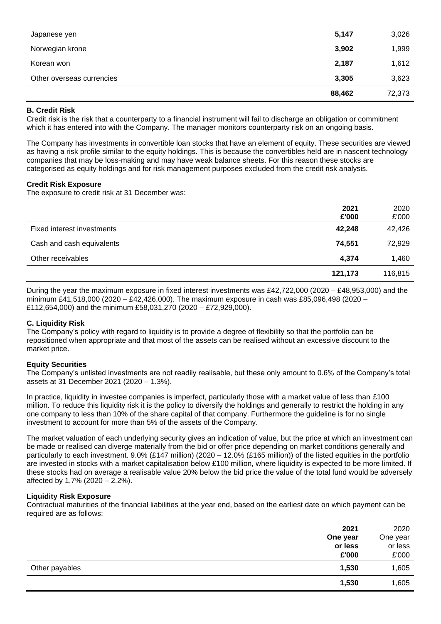| Japanese yen              | 5,147  | 3,026  |
|---------------------------|--------|--------|
| Norwegian krone           | 3,902  | 1,999  |
| Korean won                | 2,187  | 1,612  |
| Other overseas currencies | 3,305  | 3,623  |
|                           | 88,462 | 72,373 |

#### **B. Credit Risk**

Credit risk is the risk that a counterparty to a financial instrument will fail to discharge an obligation or commitment which it has entered into with the Company. The manager monitors counterparty risk on an ongoing basis.

The Company has investments in convertible loan stocks that have an element of equity. These securities are viewed as having a risk profile similar to the equity holdings. This is because the convertibles held are in nascent technology companies that may be loss-making and may have weak balance sheets. For this reason these stocks are categorised as equity holdings and for risk management purposes excluded from the credit risk analysis.

#### **Credit Risk Exposure**

The exposure to credit risk at 31 December was:

|                            | 2021<br>£'000 | 2020<br>£'000 |
|----------------------------|---------------|---------------|
| Fixed interest investments | 42,248        | 42,426        |
| Cash and cash equivalents  | 74,551        | 72,929        |
| Other receivables          | 4,374         | 1,460         |
|                            | 121,173       | 116,815       |

During the year the maximum exposure in fixed interest investments was £42,722,000 (2020 – £48,953,000) and the minimum £41,518,000 (2020 – £42,426,000). The maximum exposure in cash was £85,096,498 (2020 – £112,654,000) and the minimum £58,031,270 (2020 – £72,929,000).

#### **C. Liquidity Risk**

The Company's policy with regard to liquidity is to provide a degree of flexibility so that the portfolio can be repositioned when appropriate and that most of the assets can be realised without an excessive discount to the market price.

#### **Equity Securities**

The Company's unlisted investments are not readily realisable, but these only amount to 0.6% of the Company's total assets at 31 December 2021 (2020 – 1.3%).

In practice, liquidity in investee companies is imperfect, particularly those with a market value of less than £100 million. To reduce this liquidity risk it is the policy to diversify the holdings and generally to restrict the holding in any one company to less than 10% of the share capital of that company. Furthermore the guideline is for no single investment to account for more than 5% of the assets of the Company.

The market valuation of each underlying security gives an indication of value, but the price at which an investment can be made or realised can diverge materially from the bid or offer price depending on market conditions generally and particularly to each investment. 9.0% (£147 million) (2020 – 12.0% (£165 million)) of the listed equities in the portfolio are invested in stocks with a market capitalisation below £100 million, where liquidity is expected to be more limited. If these stocks had on average a realisable value 20% below the bid price the value of the total fund would be adversely affected by 1.7% (2020 – 2.2%).

#### **Liquidity Risk Exposure**

Contractual maturities of the financial liabilities at the year end, based on the earliest date on which payment can be required are as follows:

|                | 2021<br>One year<br>or less<br>£'000 | 2020<br>One year<br>or less<br>£'000 |
|----------------|--------------------------------------|--------------------------------------|
| Other payables | 1,530                                | 1,605                                |
|                | 1,530                                | 1,605                                |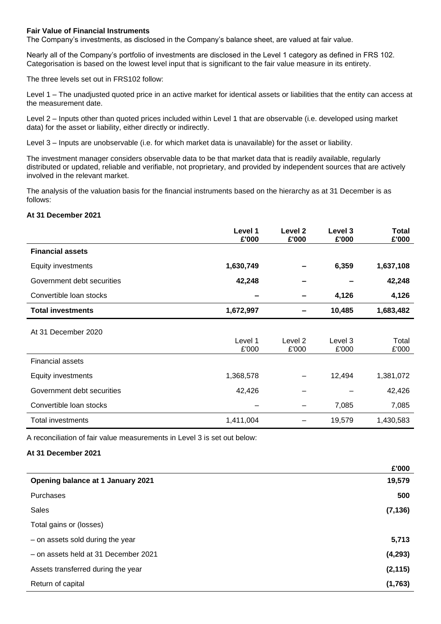#### **Fair Value of Financial Instruments**

The Company's investments, as disclosed in the Company's balance sheet, are valued at fair value.

Nearly all of the Company's portfolio of investments are disclosed in the Level 1 category as defined in FRS 102. Categorisation is based on the lowest level input that is significant to the fair value measure in its entirety.

The three levels set out in FRS102 follow:

Level 1 – The unadjusted quoted price in an active market for identical assets or liabilities that the entity can access at the measurement date.

Level 2 – Inputs other than quoted prices included within Level 1 that are observable (i.e. developed using market data) for the asset or liability, either directly or indirectly.

Level 3 – Inputs are unobservable (i.e. for which market data is unavailable) for the asset or liability.

The investment manager considers observable data to be that market data that is readily available, regularly distributed or updated, reliable and verifiable, not proprietary, and provided by independent sources that are actively involved in the relevant market.

The analysis of the valuation basis for the financial instruments based on the hierarchy as at 31 December is as follows:

#### **At 31 December 2021**

|                            | Level 1<br>£'000 | Level 2<br>£'000         | Level 3<br>£'000 | <b>Total</b><br>£'000 |
|----------------------------|------------------|--------------------------|------------------|-----------------------|
| <b>Financial assets</b>    |                  |                          |                  |                       |
| Equity investments         | 1,630,749        |                          | 6,359            | 1,637,108             |
| Government debt securities | 42,248           | -                        |                  | 42,248                |
| Convertible loan stocks    |                  |                          | 4,126            | 4,126                 |
| <b>Total investments</b>   | 1,672,997        | $\overline{\phantom{0}}$ | 10,485           | 1,683,482             |
| At 31 December 2020        |                  |                          |                  |                       |
|                            | Level 1<br>£'000 | Level 2<br>£'000         | Level 3<br>£'000 | Total<br>£'000        |

| <b>Financial assets</b>    |           |                          |        |           |
|----------------------------|-----------|--------------------------|--------|-----------|
| Equity investments         | 1,368,578 | $\overline{\phantom{0}}$ | 12.494 | 1,381,072 |
| Government debt securities | 42,426    | $\overline{\phantom{0}}$ | -      | 42.426    |
| Convertible loan stocks    | -         | $\overline{\phantom{0}}$ | 7.085  | 7,085     |
| Total investments          | 1,411,004 | $\overline{\phantom{0}}$ | 19.579 | 1,430,583 |

A reconciliation of fair value measurements in Level 3 is set out below:

#### **At 31 December 2021**

|                                      | £'000    |
|--------------------------------------|----------|
| Opening balance at 1 January 2021    | 19,579   |
| Purchases                            | 500      |
| Sales                                | (7, 136) |
| Total gains or (losses)              |          |
| - on assets sold during the year     | 5,713    |
| - on assets held at 31 December 2021 | (4, 293) |
| Assets transferred during the year   | (2, 115) |
| Return of capital                    | (1,763)  |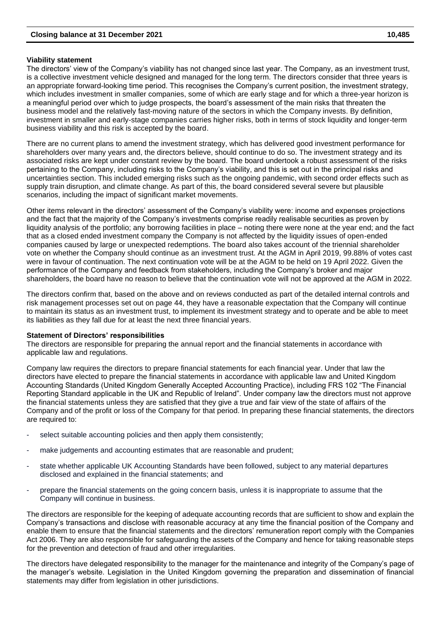#### **Viability statement**

The directors' view of the Company's viability has not changed since last year. The Company, as an investment trust, is a collective investment vehicle designed and managed for the long term. The directors consider that three years is an appropriate forward-looking time period. This recognises the Company's current position, the investment strategy, which includes investment in smaller companies, some of which are early stage and for which a three-year horizon is a meaningful period over which to judge prospects, the board's assessment of the main risks that threaten the business model and the relatively fast-moving nature of the sectors in which the Company invests. By definition, investment in smaller and early-stage companies carries higher risks, both in terms of stock liquidity and longer-term business viability and this risk is accepted by the board.

There are no current plans to amend the investment strategy, which has delivered good investment performance for shareholders over many years and, the directors believe, should continue to do so. The investment strategy and its associated risks are kept under constant review by the board. The board undertook a robust assessment of the risks pertaining to the Company, including risks to the Company's viability, and this is set out in the principal risks and uncertainties section. This included emerging risks such as the ongoing pandemic, with second order effects such as supply train disruption, and climate change. As part of this, the board considered several severe but plausible scenarios, including the impact of significant market movements.

Other items relevant in the directors' assessment of the Company's viability were: income and expenses projections and the fact that the majority of the Company's investments comprise readily realisable securities as proven by liquidity analysis of the portfolio; any borrowing facilities in place – noting there were none at the year end; and the fact that as a closed ended investment company the Company is not affected by the liquidity issues of open-ended companies caused by large or unexpected redemptions. The board also takes account of the triennial shareholder vote on whether the Company should continue as an investment trust. At the AGM in April 2019, 99.88% of votes cast were in favour of continuation. The next continuation vote will be at the AGM to be held on 19 April 2022. Given the performance of the Company and feedback from stakeholders, including the Company's broker and major shareholders, the board have no reason to believe that the continuation vote will not be approved at the AGM in 2022.

The directors confirm that, based on the above and on reviews conducted as part of the detailed internal controls and risk management processes set out on page 44, they have a reasonable expectation that the Company will continue to maintain its status as an investment trust, to implement its investment strategy and to operate and be able to meet its liabilities as they fall due for at least the next three financial years.

#### **Statement of Directors' responsibilities**

The directors are responsible for preparing the annual report and the financial statements in accordance with applicable law and regulations.

Company law requires the directors to prepare financial statements for each financial year. Under that law the directors have elected to prepare the financial statements in accordance with applicable law and United Kingdom Accounting Standards (United Kingdom Generally Accepted Accounting Practice), including FRS 102 "The Financial Reporting Standard applicable in the UK and Republic of Ireland". Under company law the directors must not approve the financial statements unless they are satisfied that they give a true and fair view of the state of affairs of the Company and of the profit or loss of the Company for that period. In preparing these financial statements, the directors are required to:

- select suitable accounting policies and then apply them consistently;
- make judgements and accounting estimates that are reasonable and prudent;
- state whether applicable UK Accounting Standards have been followed, subject to any material departures disclosed and explained in the financial statements; and
- prepare the financial statements on the going concern basis, unless it is inappropriate to assume that the Company will continue in business.

The directors are responsible for the keeping of adequate accounting records that are sufficient to show and explain the Company's transactions and disclose with reasonable accuracy at any time the financial position of the Company and enable them to ensure that the financial statements and the directors' remuneration report comply with the Companies Act 2006. They are also responsible for safeguarding the assets of the Company and hence for taking reasonable steps for the prevention and detection of fraud and other irregularities.

The directors have delegated responsibility to the manager for the maintenance and integrity of the Company's page of the manager's website. Legislation in the United Kingdom governing the preparation and dissemination of financial statements may differ from legislation in other jurisdictions.